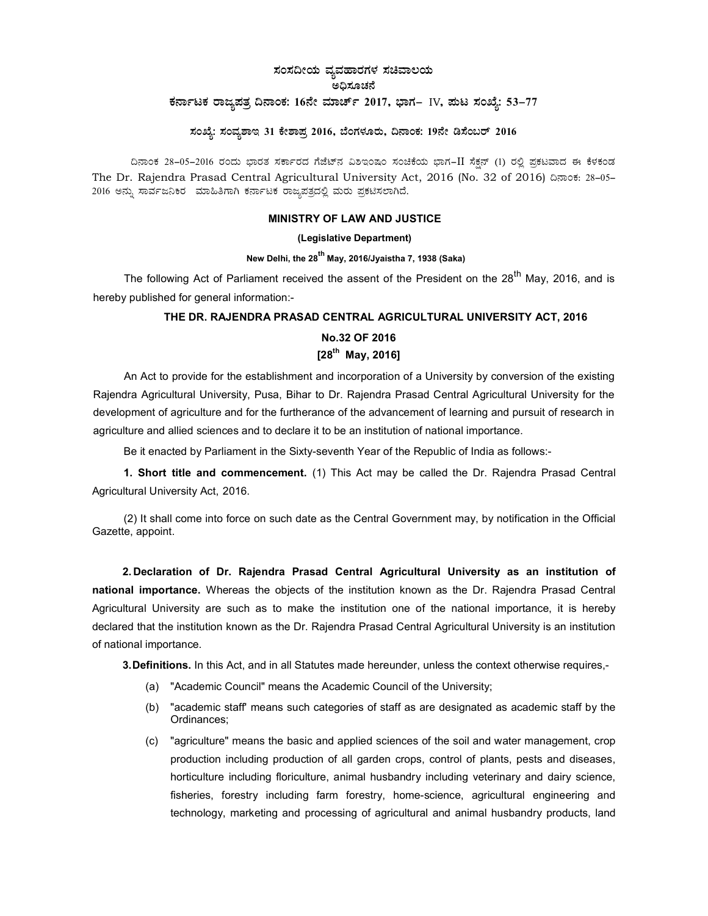# ಸಂಸದೀಯ ವ್ಯವಹಾರಗಳ ಸಚಿವಾಲಯ ಅಧಿಸೂಚನೆ ಕರ್ನಾಟಕ ರಾಜ್ಯಪತ್ರ ದಿನಾಂಕ: 16ನೇ ಮಾರ್ಚ್ 2017, ಭಾಗ– IV, ಪುಟ ಸಂಖ್ಯೆ: 53-77

# ಸಂಖ್ಯೆ: ಸಂವ್ಯಶಾಇ 31 ಕೇಶಾಪ್ರ 2016, ಬೆಂಗಳೂರು, ದಿನಾಂಕ: 19ನೇ ಡಿಸೆಂಬರ್ 2016

ದಿನಾಂಕ 28–05–2016 ರಂದು ಭಾರತ ಸರ್ಕಾರದ ಗೆಜೆಟ್ನ ವಿಶಿಇಂಷಂ ಸಂಚಿಕೆಯ ಭಾಗ−II ಸೆಕ್ಷನ್ (1) ರಲ್ಲಿ ಪ್ರಕಟವಾದ ಈ ಕೆಳಕಂಡ The Dr. Rajendra Prasad Central Agricultural University Act, 2016 (No. 32 of 2016) ಝಿಂಕ: 28-05-2016 ಅನ್ನು ಸಾರ್ವಜನಿಕರ ಮಾಹಿತಿಗಾಗಿ ಕರ್ನಾಟಕ ರಾಜ್ಯಪತ್ರದಲ್ಲಿ ಮರು ಪ್ರಕಟಿಸಲಾಗಿದೆ.

# MINISTRY OF LAW AND JUSTICE

# (Legislative Department)

# New Delhi, the 28<sup>th</sup> May, 2016/Jyaistha 7, 1938 (Saka)

The following Act of Parliament received the assent of the President on the 28<sup>th</sup> May, 2016, and is hereby published for general information:-

# THE DR. RAJENDRA PRASAD CENTRAL AGRICULTURAL UNIVERSITY ACT, 2016

# No.32 OF 2016  $[28^{th}$  May, 2016]

An Act to provide for the establishment and incorporation of a University by conversion of the existing Rajendra Agricultural University, Pusa, Bihar to Dr. Rajendra Prasad Central Agricultural University for the development of agriculture and for the furtherance of the advancement of learning and pursuit of research in agriculture and allied sciences and to declare it to be an institution of national importance.

Be it enacted by Parliament in the Sixty-seventh Year of the Republic of India as follows:-

1. Short title and commencement. (1) This Act may be called the Dr. Rajendra Prasad Central Agricultural University Act, 2016.

(2) It shall come into force on such date as the Central Government may, by notification in the Official Gazette, appoint.

2. Declaration of Dr. Rajendra Prasad Central Agricultural University as an institution of national importance. Whereas the objects of the institution known as the Dr. Rajendra Prasad Central Agricultural University are such as to make the institution one of the national importance, it is hereby declared that the institution known as the Dr. Rajendra Prasad Central Agricultural University is an institution of national importance.

3. Definitions. In this Act, and in all Statutes made hereunder, unless the context otherwise requires,-

- (a) "Academic Council" means the Academic Council of the University;
- (b) "academic staff' means such categories of staff as are designated as academic staff by the Ordinances;
- (c) "agriculture" means the basic and applied sciences of the soil and water management, crop production including production of all garden crops, control of plants, pests and diseases, horticulture including floriculture, animal husbandry including veterinary and dairy science, fisheries, forestry including farm forestry, home-science, agricultural engineering and technology, marketing and processing of agricultural and animal husbandry products, land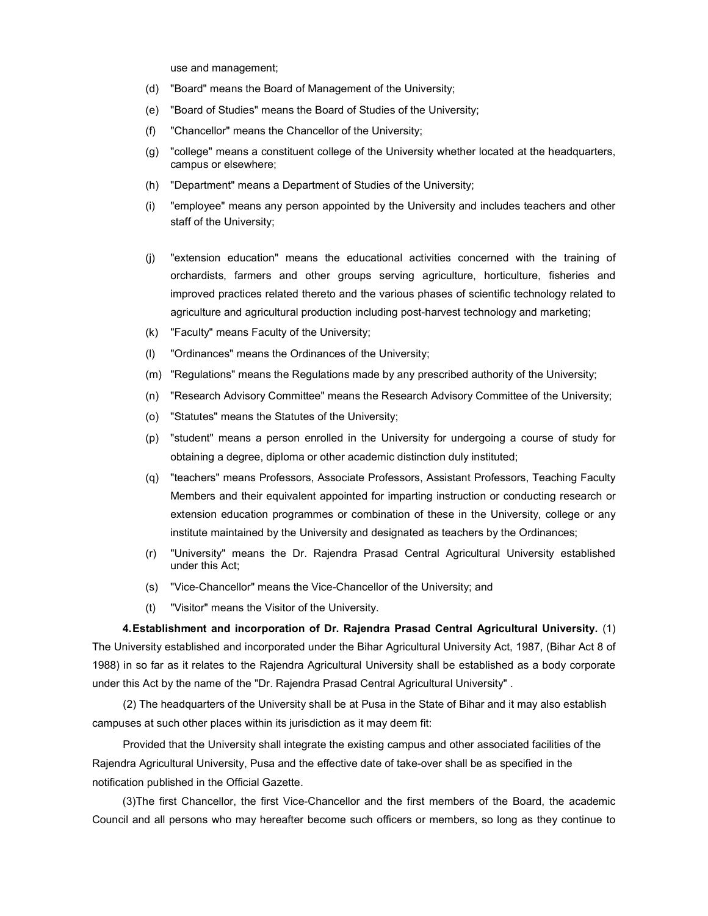use and management;

- (d) "Board" means the Board of Management of the University;
- (e) "Board of Studies" means the Board of Studies of the University;
- (f) "Chancellor" means the Chancellor of the University;
- (g) "college" means a constituent college of the University whether located at the headquarters, campus or elsewhere;
- (h) "Department" means a Department of Studies of the University;
- (i) "employee" means any person appointed by the University and includes teachers and other staff of the University;
- (j) "extension education" means the educational activities concerned with the training of orchardists, farmers and other groups serving agriculture, horticulture, fisheries and improved practices related thereto and the various phases of scientific technology related to agriculture and agricultural production including post-harvest technology and marketing;
- (k) "Faculty" means Faculty of the University;
- (l) "Ordinances" means the Ordinances of the University;
- (m) "Regulations" means the Regulations made by any prescribed authority of the University;
- (n) "Research Advisory Committee" means the Research Advisory Committee of the University;
- (o) "Statutes" means the Statutes of the University;
- (p) "student" means a person enrolled in the University for undergoing a course of study for obtaining a degree, diploma or other academic distinction duly instituted;
- (q) "teachers" means Professors, Associate Professors, Assistant Professors, Teaching Faculty Members and their equivalent appointed for imparting instruction or conducting research or extension education programmes or combination of these in the University, college or any institute maintained by the University and designated as teachers by the Ordinances;
- (r) "University" means the Dr. Rajendra Prasad Central Agricultural University established under this Act;
- (s) "Vice-Chancellor" means the Vice-Chancellor of the University; and
- (t) "Visitor" means the Visitor of the University.

4. Establishment and incorporation of Dr. Rajendra Prasad Central Agricultural University. (1) The University established and incorporated under the Bihar Agricultural University Act, 1987, (Bihar Act 8 of 1988) in so far as it relates to the Rajendra Agricultural University shall be established as a body corporate under this Act by the name of the "Dr. Rajendra Prasad Central Agricultural University" .

(2) The headquarters of the University shall be at Pusa in the State of Bihar and it may also establish campuses at such other places within its jurisdiction as it may deem fit:

Provided that the University shall integrate the existing campus and other associated facilities of the Rajendra Agricultural University, Pusa and the effective date of take-over shall be as specified in the notification published in the Official Gazette.

(3) The first Chancellor, the first Vice-Chancellor and the first members of the Board, the academic Council and all persons who may hereafter become such officers or members, so long as they continue to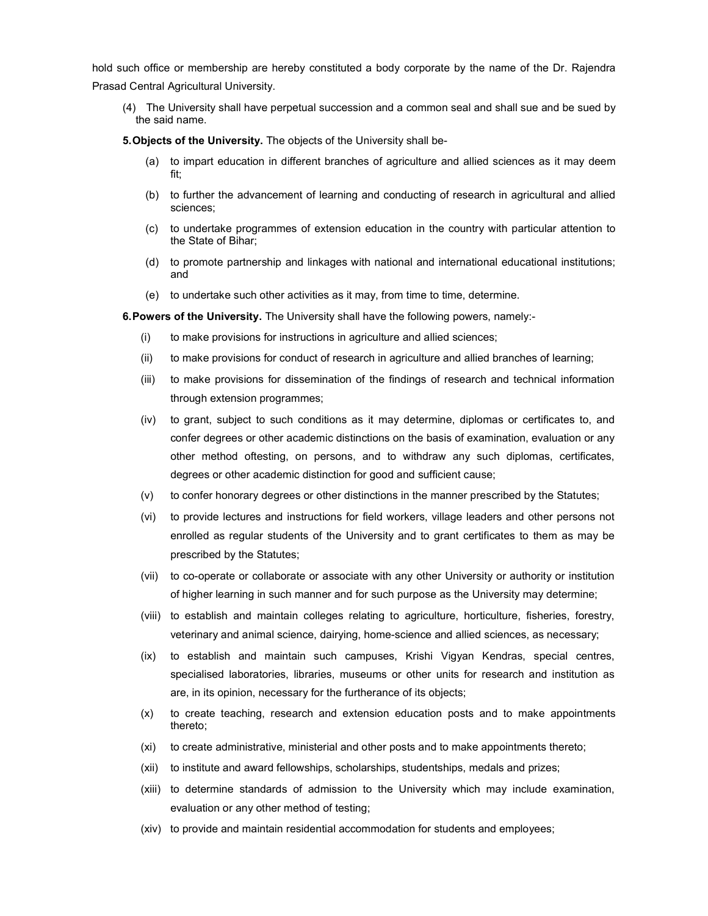hold such office or membership are hereby constituted a body corporate by the name of the Dr. Rajendra Prasad Central Agricultural University.

(4) The University shall have perpetual succession and a common seal and shall sue and be sued by the said name.

5. Objects of the University. The objects of the University shall be-

- (a) to impart education in different branches of agriculture and allied sciences as it may deem fit;
- (b) to further the advancement of learning and conducting of research in agricultural and allied sciences;
- (c) to undertake programmes of extension education in the country with particular attention to the State of Bihar;
- (d) to promote partnership and linkages with national and international educational institutions; and
- (e) to undertake such other activities as it may, from time to time, determine.

6. Powers of the University. The University shall have the following powers, namely:-

- (i) to make provisions for instructions in agriculture and allied sciences;
- (ii) to make provisions for conduct of research in agriculture and allied branches of learning;
- (iii) to make provisions for dissemination of the findings of research and technical information through extension programmes;
- (iv) to grant, subject to such conditions as it may determine, diplomas or certificates to, and confer degrees or other academic distinctions on the basis of examination, evaluation or any other method oftesting, on persons, and to withdraw any such diplomas, certificates, degrees or other academic distinction for good and sufficient cause;
- (v) to confer honorary degrees or other distinctions in the manner prescribed by the Statutes;
- (vi) to provide lectures and instructions for field workers, village leaders and other persons not enrolled as regular students of the University and to grant certificates to them as may be prescribed by the Statutes;
- (vii) to co-operate or collaborate or associate with any other University or authority or institution of higher learning in such manner and for such purpose as the University may determine;
- (viii) to establish and maintain colleges relating to agriculture, horticulture, fisheries, forestry, veterinary and animal science, dairying, home-science and allied sciences, as necessary;
- (ix) to establish and maintain such campuses, Krishi Vigyan Kendras, special centres, specialised laboratories, libraries, museums or other units for research and institution as are, in its opinion, necessary for the furtherance of its objects;
- (x) to create teaching, research and extension education posts and to make appointments thereto;
- (xi) to create administrative, ministerial and other posts and to make appointments thereto;
- (xii) to institute and award fellowships, scholarships, studentships, medals and prizes;
- (xiii) to determine standards of admission to the University which may include examination, evaluation or any other method of testing;
- (xiv) to provide and maintain residential accommodation for students and employees;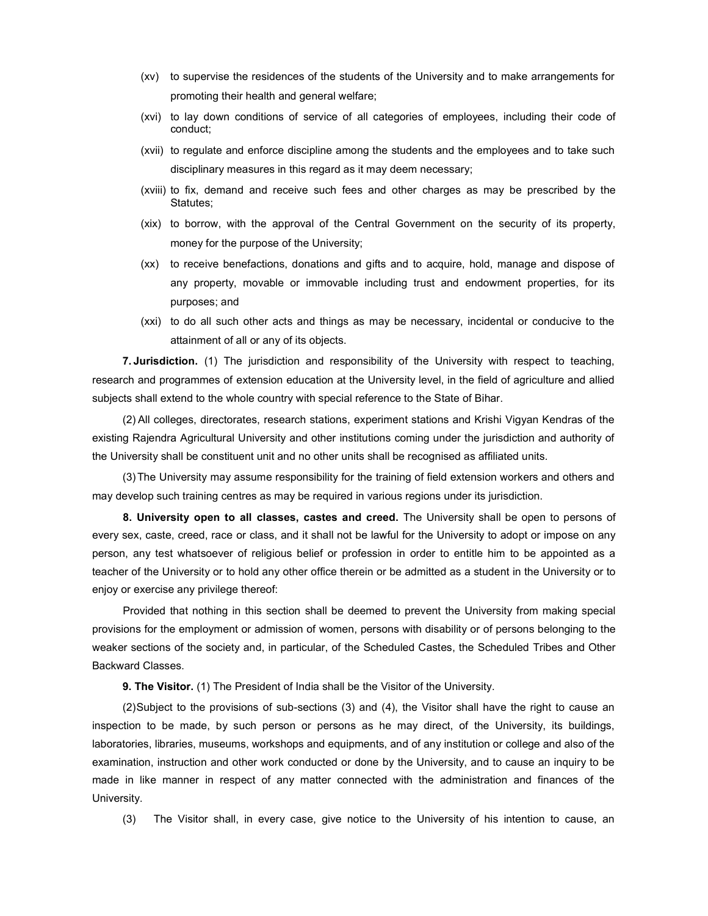- (xv) to supervise the residences of the students of the University and to make arrangements for promoting their health and general welfare;
- (xvi) to lay down conditions of service of all categories of employees, including their code of conduct;
- (xvii) to regulate and enforce discipline among the students and the employees and to take such disciplinary measures in this regard as it may deem necessary;
- (xviii) to fix, demand and receive such fees and other charges as may be prescribed by the Statutes;
- (xix) to borrow, with the approval of the Central Government on the security of its property, money for the purpose of the University;
- (xx) to receive benefactions, donations and gifts and to acquire, hold, manage and dispose of any property, movable or immovable including trust and endowment properties, for its purposes; and
- (xxi) to do all such other acts and things as may be necessary, incidental or conducive to the attainment of all or any of its objects.

7. Jurisdiction. (1) The jurisdiction and responsibility of the University with respect to teaching, research and programmes of extension education at the University level, in the field of agriculture and allied subjects shall extend to the whole country with special reference to the State of Bihar.

(2) All colleges, directorates, research stations, experiment stations and Krishi Vigyan Kendras of the existing Rajendra Agricultural University and other institutions coming under the jurisdiction and authority of the University shall be constituent unit and no other units shall be recognised as affiliated units.

(3) The University may assume responsibility for the training of field extension workers and others and may develop such training centres as may be required in various regions under its jurisdiction.

8. University open to all classes, castes and creed. The University shall be open to persons of every sex, caste, creed, race or class, and it shall not be lawful for the University to adopt or impose on any person, any test whatsoever of religious belief or profession in order to entitle him to be appointed as a teacher of the University or to hold any other office therein or be admitted as a student in the University or to enjoy or exercise any privilege thereof:

Provided that nothing in this section shall be deemed to prevent the University from making special provisions for the employment or admission of women, persons with disability or of persons belonging to the weaker sections of the society and, in particular, of the Scheduled Castes, the Scheduled Tribes and Other Backward Classes.

9. The Visitor. (1) The President of India shall be the Visitor of the University.

(2) Subject to the provisions of sub-sections (3) and (4), the Visitor shall have the right to cause an inspection to be made, by such person or persons as he may direct, of the University, its buildings, laboratories, libraries, museums, workshops and equipments, and of any institution or college and also of the examination, instruction and other work conducted or done by the University, and to cause an inquiry to be made in like manner in respect of any matter connected with the administration and finances of the University.

(3) The Visitor shall, in every case, give notice to the University of his intention to cause, an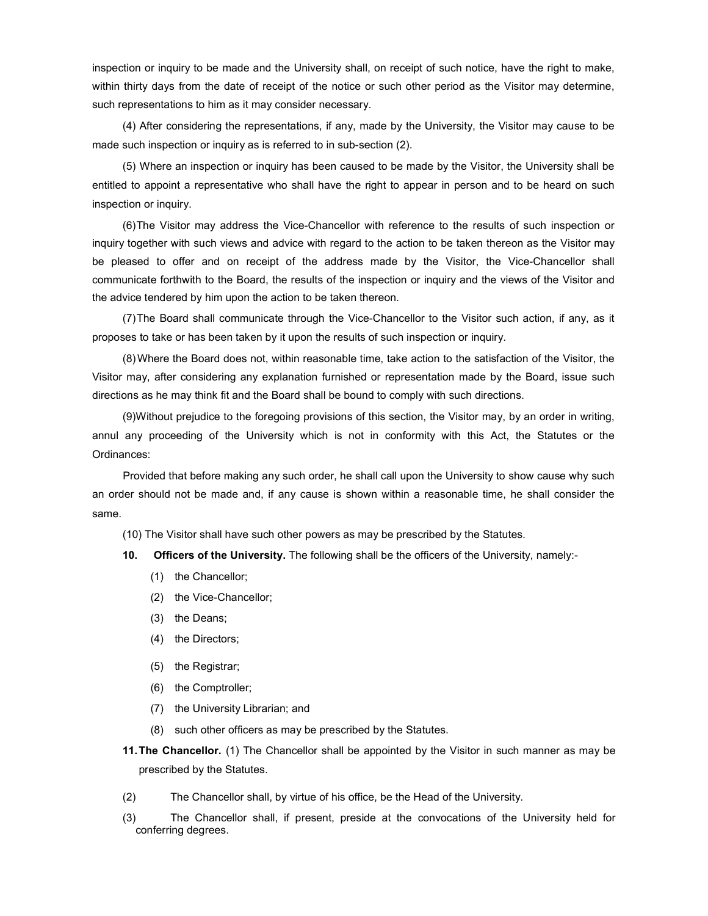inspection or inquiry to be made and the University shall, on receipt of such notice, have the right to make, within thirty days from the date of receipt of the notice or such other period as the Visitor may determine, such representations to him as it may consider necessary.

(4) After considering the representations, if any, made by the University, the Visitor may cause to be made such inspection or inquiry as is referred to in sub-section (2).

(5) Where an inspection or inquiry has been caused to be made by the Visitor, the University shall be entitled to appoint a representative who shall have the right to appear in person and to be heard on such inspection or inquiry.

(6) The Visitor may address the Vice-Chancellor with reference to the results of such inspection or inquiry together with such views and advice with regard to the action to be taken thereon as the Visitor may be pleased to offer and on receipt of the address made by the Visitor, the Vice-Chancellor shall communicate forthwith to the Board, the results of the inspection or inquiry and the views of the Visitor and the advice tendered by him upon the action to be taken thereon.

(7) The Board shall communicate through the Vice-Chancellor to the Visitor such action, if any, as it proposes to take or has been taken by it upon the results of such inspection or inquiry.

(8) Where the Board does not, within reasonable time, take action to the satisfaction of the Visitor, the Visitor may, after considering any explanation furnished or representation made by the Board, issue such directions as he may think fit and the Board shall be bound to comply with such directions.

(9) Without prejudice to the foregoing provisions of this section, the Visitor may, by an order in writing, annul any proceeding of the University which is not in conformity with this Act, the Statutes or the Ordinances:

Provided that before making any such order, he shall call upon the University to show cause why such an order should not be made and, if any cause is shown within a reasonable time, he shall consider the same.

(10) The Visitor shall have such other powers as may be prescribed by the Statutes.

- 10. Officers of the University. The following shall be the officers of the University, namely:-
	- (1) the Chancellor;
	- (2) the Vice-Chancellor;
	- (3) the Deans;
	- (4) the Directors;
	- (5) the Registrar;
	- (6) the Comptroller;
	- (7) the University Librarian; and
	- (8) such other officers as may be prescribed by the Statutes.
- 11. The Chancellor. (1) The Chancellor shall be appointed by the Visitor in such manner as may be prescribed by the Statutes.
- (2) The Chancellor shall, by virtue of his office, be the Head of the University.
- (3) The Chancellor shall, if present, preside at the convocations of the University held for conferring degrees.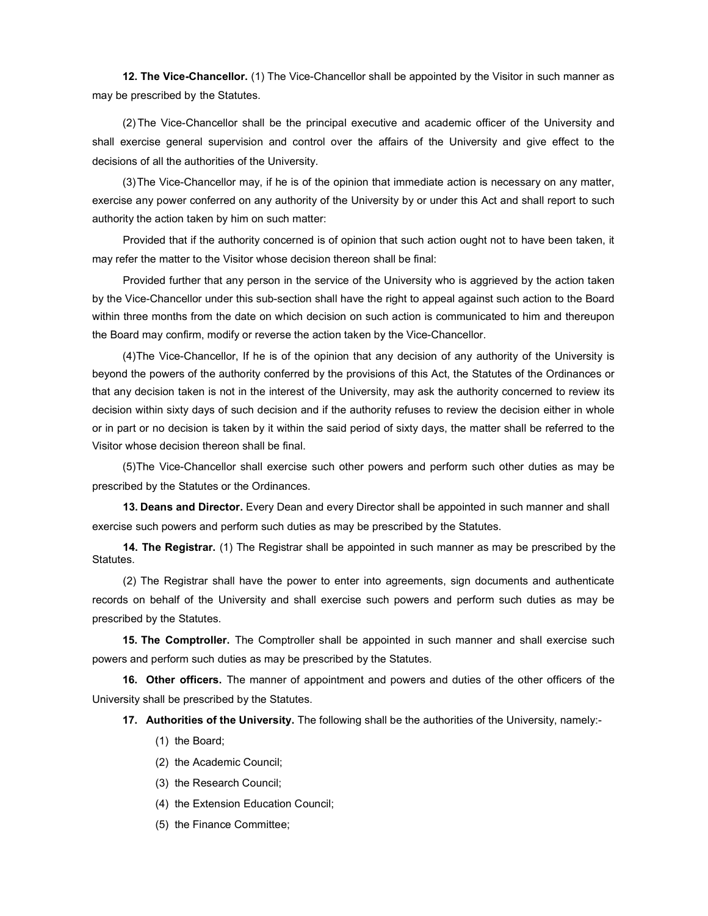12. The Vice-Chancellor. (1) The Vice-Chancellor shall be appointed by the Visitor in such manner as may be prescribed by the Statutes.

(2) The Vice-Chancellor shall be the principal executive and academic officer of the University and shall exercise general supervision and control over the affairs of the University and give effect to the decisions of all the authorities of the University.

(3) The Vice-Chancellor may, if he is of the opinion that immediate action is necessary on any matter, exercise any power conferred on any authority of the University by or under this Act and shall report to such authority the action taken by him on such matter:

Provided that if the authority concerned is of opinion that such action ought not to have been taken, it may refer the matter to the Visitor whose decision thereon shall be final:

Provided further that any person in the service of the University who is aggrieved by the action taken by the Vice-Chancellor under this sub-section shall have the right to appeal against such action to the Board within three months from the date on which decision on such action is communicated to him and thereupon the Board may confirm, modify or reverse the action taken by the Vice-Chancellor.

(4) The Vice-Chancellor, If he is of the opinion that any decision of any authority of the University is beyond the powers of the authority conferred by the provisions of this Act, the Statutes of the Ordinances or that any decision taken is not in the interest of the University, may ask the authority concerned to review its decision within sixty days of such decision and if the authority refuses to review the decision either in whole or in part or no decision is taken by it within the said period of sixty days, the matter shall be referred to the Visitor whose decision thereon shall be final.

(5) The Vice-Chancellor shall exercise such other powers and perform such other duties as may be prescribed by the Statutes or the Ordinances.

13. Deans and Director. Every Dean and every Director shall be appointed in such manner and shall exercise such powers and perform such duties as may be prescribed by the Statutes.

14. The Registrar. (1) The Registrar shall be appointed in such manner as may be prescribed by the Statutes.

(2) The Registrar shall have the power to enter into agreements, sign documents and authenticate records on behalf of the University and shall exercise such powers and perform such duties as may be prescribed by the Statutes.

**15. The Comptroller.** The Comptroller shall be appointed in such manner and shall exercise such powers and perform such duties as may be prescribed by the Statutes.

16. Other officers. The manner of appointment and powers and duties of the other officers of the University shall be prescribed by the Statutes.

17. Authorities of the University. The following shall be the authorities of the University, namely:-

- (1) the Board;
- (2) the Academic Council;
- (3) the Research Council;
- (4) the Extension Education Council;
- (5) the Finance Committee;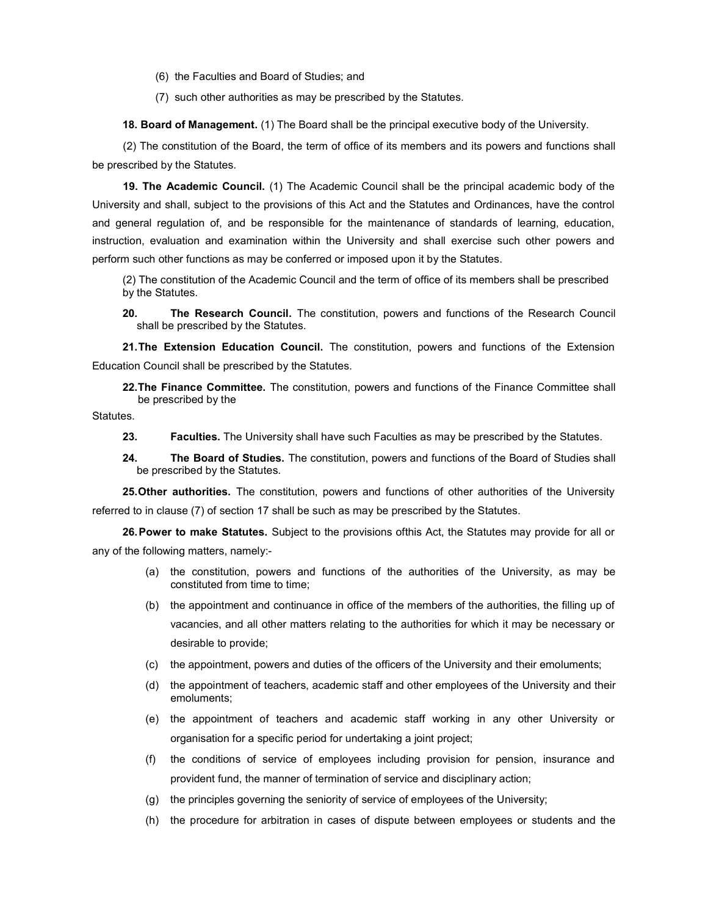(6) the Faculties and Board of Studies; and

(7) such other authorities as may be prescribed by the Statutes.

18. Board of Management. (1) The Board shall be the principal executive body of the University.

(2) The constitution of the Board, the term of office of its members and its powers and functions shall be prescribed by the Statutes.

19. The Academic Council. (1) The Academic Council shall be the principal academic body of the University and shall, subject to the provisions of this Act and the Statutes and Ordinances, have the control and general regulation of, and be responsible for the maintenance of standards of learning, education, instruction, evaluation and examination within the University and shall exercise such other powers and perform such other functions as may be conferred or imposed upon it by the Statutes.

(2) The constitution of the Academic Council and the term of office of its members shall be prescribed by the Statutes.

20. The Research Council. The constitution, powers and functions of the Research Council shall be prescribed by the Statutes.

21. The Extension Education Council. The constitution, powers and functions of the Extension Education Council shall be prescribed by the Statutes.

22. The Finance Committee. The constitution, powers and functions of the Finance Committee shall be prescribed by the

Statutes.

- 23. Faculties. The University shall have such Faculties as may be prescribed by the Statutes.
- 24. The Board of Studies. The constitution, powers and functions of the Board of Studies shall be prescribed by the Statutes.

25. Other authorities. The constitution, powers and functions of other authorities of the University referred to in clause (7) of section 17 shall be such as may be prescribed by the Statutes.

26. Power to make Statutes. Subject to the provisions ofthis Act, the Statutes may provide for all or any of the following matters, namely:-

- (a) the constitution, powers and functions of the authorities of the University, as may be constituted from time to time;
- (b) the appointment and continuance in office of the members of the authorities, the filling up of vacancies, and all other matters relating to the authorities for which it may be necessary or desirable to provide;
- (c) the appointment, powers and duties of the officers of the University and their emoluments;
- (d) the appointment of teachers, academic staff and other employees of the University and their emoluments;
- (e) the appointment of teachers and academic staff working in any other University or organisation for a specific period for undertaking a joint project;
- (f) the conditions of service of employees including provision for pension, insurance and provident fund, the manner of termination of service and disciplinary action;
- (g) the principles governing the seniority of service of employees of the University;
- (h) the procedure for arbitration in cases of dispute between employees or students and the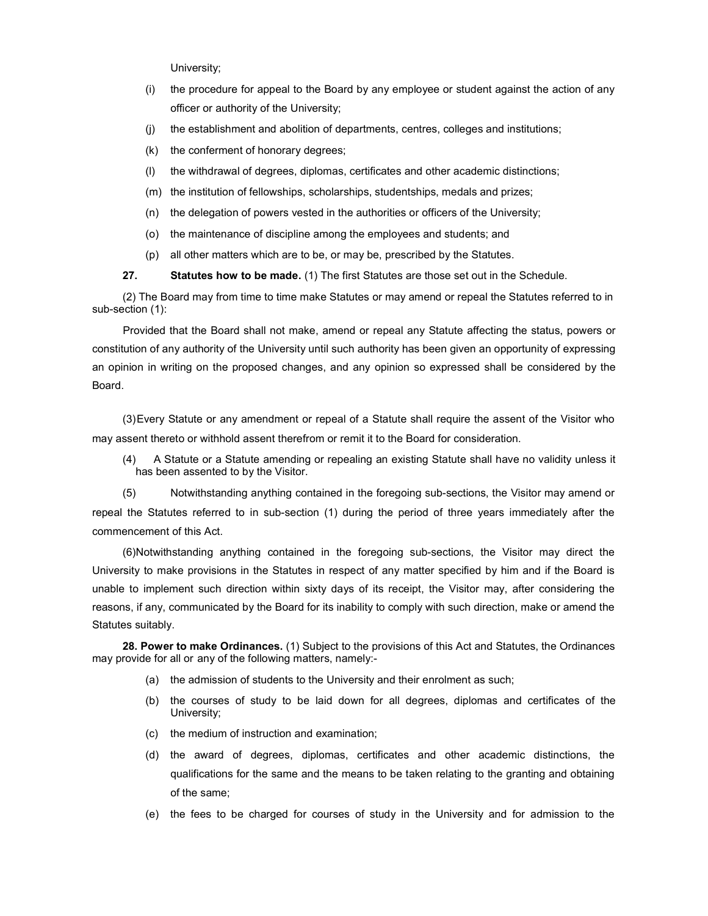University;

- (i) the procedure for appeal to the Board by any employee or student against the action of any officer or authority of the University;
- (j) the establishment and abolition of departments, centres, colleges and institutions;
- (k) the conferment of honorary degrees;
- (l) the withdrawal of degrees, diplomas, certificates and other academic distinctions;
- (m) the institution of fellowships, scholarships, studentships, medals and prizes;
- (n) the delegation of powers vested in the authorities or officers of the University;
- (o) the maintenance of discipline among the employees and students; and
- (p) all other matters which are to be, or may be, prescribed by the Statutes.

# 27. Statutes how to be made. (1) The first Statutes are those set out in the Schedule.

(2) The Board may from time to time make Statutes or may amend or repeal the Statutes referred to in sub-section (1):

Provided that the Board shall not make, amend or repeal any Statute affecting the status, powers or constitution of any authority of the University until such authority has been given an opportunity of expressing an opinion in writing on the proposed changes, and any opinion so expressed shall be considered by the Board.

(3) Every Statute or any amendment or repeal of a Statute shall require the assent of the Visitor who may assent thereto or withhold assent therefrom or remit it to the Board for consideration.

(4) A Statute or a Statute amending or repealing an existing Statute shall have no validity unless it has been assented to by the Visitor.

(5) Notwithstanding anything contained in the foregoing sub-sections, the Visitor may amend or repeal the Statutes referred to in sub-section (1) during the period of three years immediately after the commencement of this Act.

(6) Notwithstanding anything contained in the foregoing sub-sections, the Visitor may direct the University to make provisions in the Statutes in respect of any matter specified by him and if the Board is unable to implement such direction within sixty days of its receipt, the Visitor may, after considering the reasons, if any, communicated by the Board for its inability to comply with such direction, make or amend the Statutes suitably.

28. Power to make Ordinances. (1) Subject to the provisions of this Act and Statutes, the Ordinances may provide for all or any of the following matters, namely:-

- (a) the admission of students to the University and their enrolment as such;
- (b) the courses of study to be laid down for all degrees, diplomas and certificates of the University;
- (c) the medium of instruction and examination;
- (d) the award of degrees, diplomas, certificates and other academic distinctions, the qualifications for the same and the means to be taken relating to the granting and obtaining of the same;
- (e) the fees to be charged for courses of study in the University and for admission to the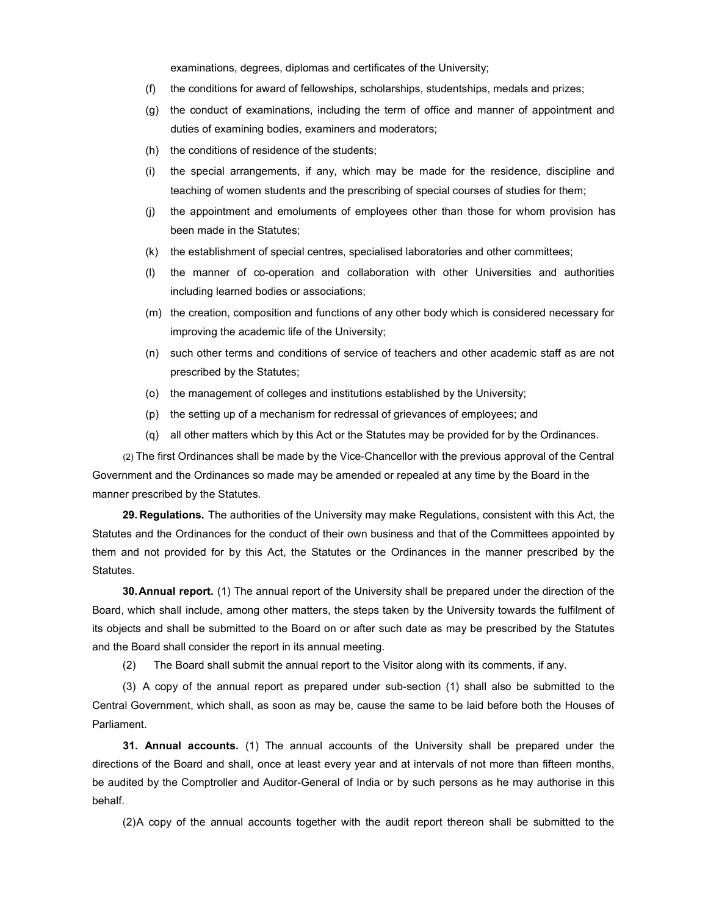examinations, degrees, diplomas and certificates of the University;

- (f) the conditions for award of fellowships, scholarships, studentships, medals and prizes;
- (g) the conduct of examinations, including the term of office and manner of appointment and duties of examining bodies, examiners and moderators;
- (h) the conditions of residence of the students;
- (i) the special arrangements, if any, which may be made for the residence, discipline and teaching of women students and the prescribing of special courses of studies for them;
- (j) the appointment and emoluments of employees other than those for whom provision has been made in the Statutes;
- (k) the establishment of special centres, specialised laboratories and other committees;
- (l) the manner of co-operation and collaboration with other Universities and authorities including learned bodies or associations;
- (m) the creation, composition and functions of any other body which is considered necessary for improving the academic life of the University;
- (n) such other terms and conditions of service of teachers and other academic staff as are not prescribed by the Statutes;
- (o) the management of colleges and institutions established by the University;
- (p) the setting up of a mechanism for redressal of grievances of employees; and
- (q) all other matters which by this Act or the Statutes may be provided for by the Ordinances.

(2) The first Ordinances shall be made by the Vice-Chancellor with the previous approval of the Central Government and the Ordinances so made may be amended or repealed at any time by the Board in the manner prescribed by the Statutes.

29. Regulations. The authorities of the University may make Regulations, consistent with this Act, the Statutes and the Ordinances for the conduct of their own business and that of the Committees appointed by them and not provided for by this Act, the Statutes or the Ordinances in the manner prescribed by the Statutes.

30. Annual report. (1) The annual report of the University shall be prepared under the direction of the Board, which shall include, among other matters, the steps taken by the University towards the fulfilment of its objects and shall be submitted to the Board on or after such date as may be prescribed by the Statutes and the Board shall consider the report in its annual meeting.

(2) The Board shall submit the annual report to the Visitor along with its comments, if any.

(3) A copy of the annual report as prepared under sub-section (1) shall also be submitted to the Central Government, which shall, as soon as may be, cause the same to be laid before both the Houses of Parliament.

31. Annual accounts. (1) The annual accounts of the University shall be prepared under the directions of the Board and shall, once at least every year and at intervals of not more than fifteen months, be audited by the Comptroller and Auditor-General of India or by such persons as he may authorise in this behalf.

(2) A copy of the annual accounts together with the audit report thereon shall be submitted to the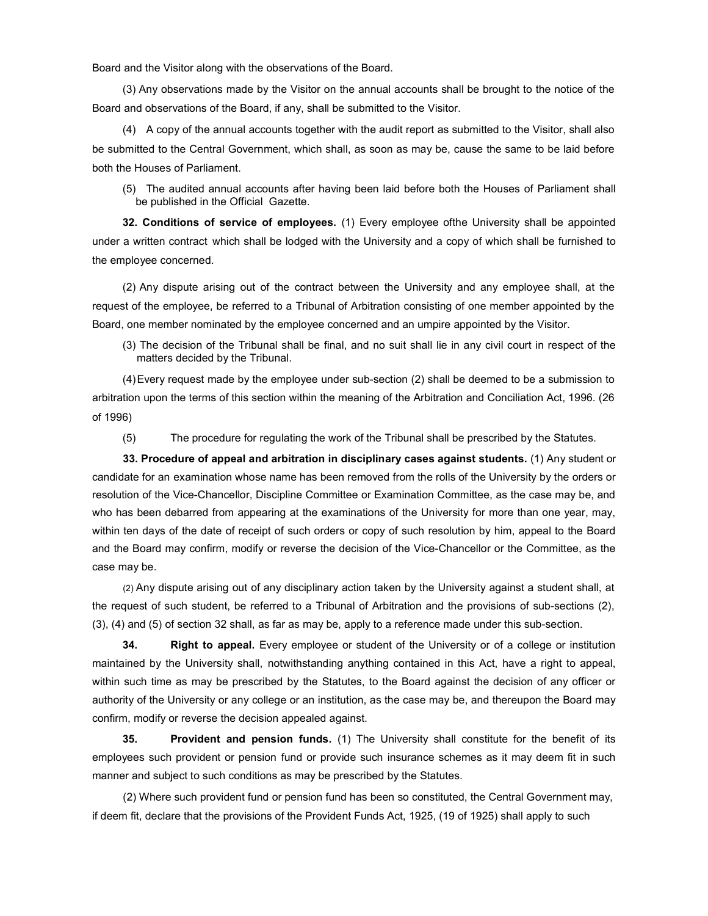Board and the Visitor along with the observations of the Board.

(3) Any observations made by the Visitor on the annual accounts shall be brought to the notice of the Board and observations of the Board, if any, shall be submitted to the Visitor.

(4) A copy of the annual accounts together with the audit report as submitted to the Visitor, shall also be submitted to the Central Government, which shall, as soon as may be, cause the same to be laid before both the Houses of Parliament.

(5) The audited annual accounts after having been laid before both the Houses of Parliament shall be published in the Official Gazette.

32. Conditions of service of employees. (1) Every employee ofthe University shall be appointed under a written contract which shall be lodged with the University and a copy of which shall be furnished to the employee concerned.

(2) Any dispute arising out of the contract between the University and any employee shall, at the request of the employee, be referred to a Tribunal of Arbitration consisting of one member appointed by the Board, one member nominated by the employee concerned and an umpire appointed by the Visitor.

(3) The decision of the Tribunal shall be final, and no suit shall lie in any civil court in respect of the matters decided by the Tribunal.

(4) Every request made by the employee under sub-section (2) shall be deemed to be a submission to arbitration upon the terms of this section within the meaning of the Arbitration and Conciliation Act, 1996. (26 of 1996)

(5) The procedure for regulating the work of the Tribunal shall be prescribed by the Statutes.

33. Procedure of appeal and arbitration in disciplinary cases against students. (1) Any student or candidate for an examination whose name has been removed from the rolls of the University by the orders or resolution of the Vice-Chancellor, Discipline Committee or Examination Committee, as the case may be, and who has been debarred from appearing at the examinations of the University for more than one year, may, within ten days of the date of receipt of such orders or copy of such resolution by him, appeal to the Board and the Board may confirm, modify or reverse the decision of the Vice-Chancellor or the Committee, as the case may be.

(2) Any dispute arising out of any disciplinary action taken by the University against a student shall, at the request of such student, be referred to a Tribunal of Arbitration and the provisions of sub-sections (2), (3), (4) and (5) of section 32 shall, as far as may be, apply to a reference made under this sub-section.

34. Right to appeal. Every employee or student of the University or of a college or institution maintained by the University shall, notwithstanding anything contained in this Act, have a right to appeal, within such time as may be prescribed by the Statutes, to the Board against the decision of any officer or authority of the University or any college or an institution, as the case may be, and thereupon the Board may confirm, modify or reverse the decision appealed against.

35. Provident and pension funds. (1) The University shall constitute for the benefit of its employees such provident or pension fund or provide such insurance schemes as it may deem fit in such manner and subject to such conditions as may be prescribed by the Statutes.

(2) Where such provident fund or pension fund has been so constituted, the Central Government may, if deem fit, declare that the provisions of the Provident Funds Act, 1925, (19 of 1925) shall apply to such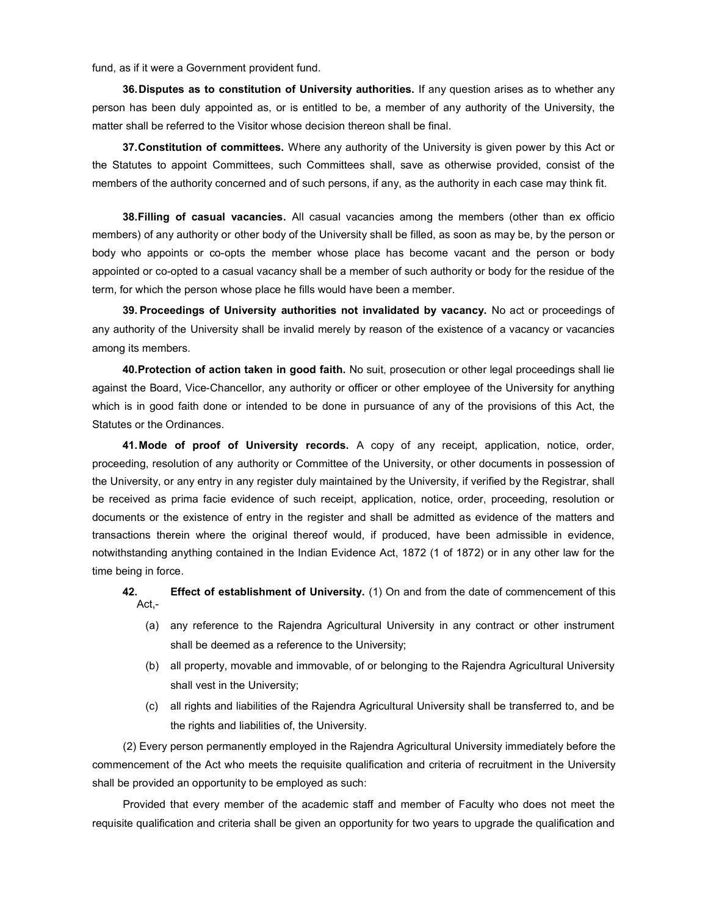fund, as if it were a Government provident fund.

36. Disputes as to constitution of University authorities. If any question arises as to whether any person has been duly appointed as, or is entitled to be, a member of any authority of the University, the matter shall be referred to the Visitor whose decision thereon shall be final.

37. Constitution of committees. Where any authority of the University is given power by this Act or the Statutes to appoint Committees, such Committees shall, save as otherwise provided, consist of the members of the authority concerned and of such persons, if any, as the authority in each case may think fit.

38. Filling of casual vacancies. All casual vacancies among the members (other than ex officio members) of any authority or other body of the University shall be filled, as soon as may be, by the person or body who appoints or co-opts the member whose place has become vacant and the person or body appointed or co-opted to a casual vacancy shall be a member of such authority or body for the residue of the term, for which the person whose place he fills would have been a member.

39. Proceedings of University authorities not invalidated by vacancy. No act or proceedings of any authority of the University shall be invalid merely by reason of the existence of a vacancy or vacancies among its members.

40. Protection of action taken in good faith. No suit, prosecution or other legal proceedings shall lie against the Board, Vice-Chancellor, any authority or officer or other employee of the University for anything which is in good faith done or intended to be done in pursuance of any of the provisions of this Act, the Statutes or the Ordinances.

41. Mode of proof of University records. A copy of any receipt, application, notice, order, proceeding, resolution of any authority or Committee of the University, or other documents in possession of the University, or any entry in any register duly maintained by the University, if verified by the Registrar, shall be received as prima facie evidence of such receipt, application, notice, order, proceeding, resolution or documents or the existence of entry in the register and shall be admitted as evidence of the matters and transactions therein where the original thereof would, if produced, have been admissible in evidence, notwithstanding anything contained in the Indian Evidence Act, 1872 (1 of 1872) or in any other law for the time being in force.

42. **Effect of establishment of University.** (1) On and from the date of commencement of this Act,-

- (a) any reference to the Rajendra Agricultural University in any contract or other instrument shall be deemed as a reference to the University;
- (b) all property, movable and immovable, of or belonging to the Rajendra Agricultural University shall vest in the University;
- (c) all rights and liabilities of the Rajendra Agricultural University shall be transferred to, and be the rights and liabilities of, the University.

(2) Every person permanently employed in the Rajendra Agricultural University immediately before the commencement of the Act who meets the requisite qualification and criteria of recruitment in the University shall be provided an opportunity to be employed as such:

Provided that every member of the academic staff and member of Faculty who does not meet the requisite qualification and criteria shall be given an opportunity for two years to upgrade the qualification and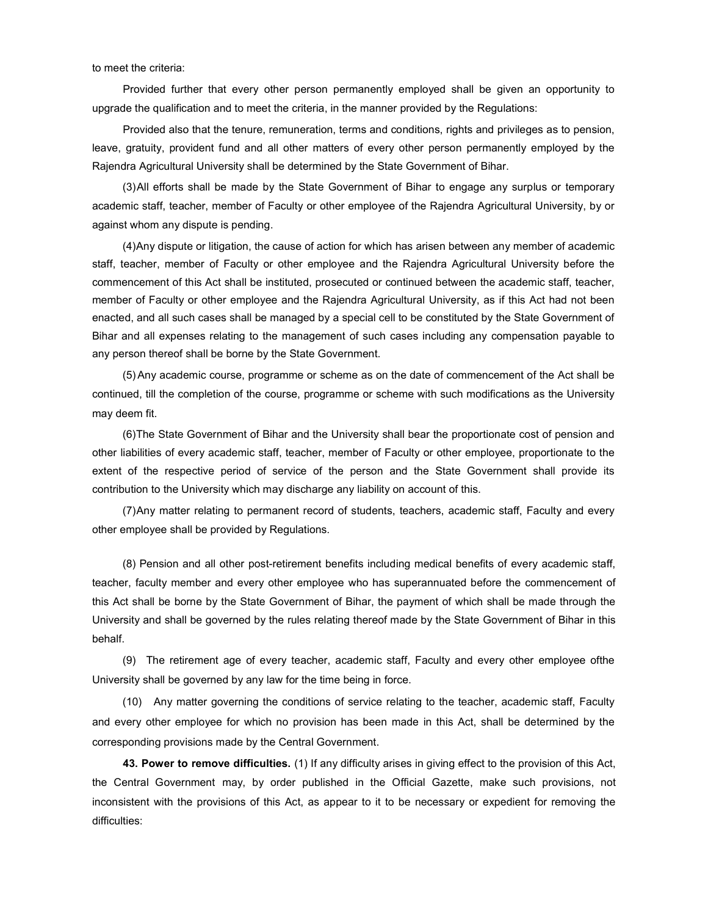to meet the criteria:

Provided further that every other person permanently employed shall be given an opportunity to upgrade the qualification and to meet the criteria, in the manner provided by the Regulations:

Provided also that the tenure, remuneration, terms and conditions, rights and privileges as to pension, leave, gratuity, provident fund and all other matters of every other person permanently employed by the Rajendra Agricultural University shall be determined by the State Government of Bihar.

(3) All efforts shall be made by the State Government of Bihar to engage any surplus or temporary academic staff, teacher, member of Faculty or other employee of the Rajendra Agricultural University, by or against whom any dispute is pending.

(4) Any dispute or litigation, the cause of action for which has arisen between any member of academic staff, teacher, member of Faculty or other employee and the Rajendra Agricultural University before the commencement of this Act shall be instituted, prosecuted or continued between the academic staff, teacher, member of Faculty or other employee and the Rajendra Agricultural University, as if this Act had not been enacted, and all such cases shall be managed by a special cell to be constituted by the State Government of Bihar and all expenses relating to the management of such cases including any compensation payable to any person thereof shall be borne by the State Government.

(5) Any academic course, programme or scheme as on the date of commencement of the Act shall be continued, till the completion of the course, programme or scheme with such modifications as the University may deem fit.

(6) The State Government of Bihar and the University shall bear the proportionate cost of pension and other liabilities of every academic staff, teacher, member of Faculty or other employee, proportionate to the extent of the respective period of service of the person and the State Government shall provide its contribution to the University which may discharge any liability on account of this.

(7) Any matter relating to permanent record of students, teachers, academic staff, Faculty and every other employee shall be provided by Regulations.

(8) Pension and all other post-retirement benefits including medical benefits of every academic staff, teacher, faculty member and every other employee who has superannuated before the commencement of this Act shall be borne by the State Government of Bihar, the payment of which shall be made through the University and shall be governed by the rules relating thereof made by the State Government of Bihar in this behalf.

(9) The retirement age of every teacher, academic staff, Faculty and every other employee ofthe University shall be governed by any law for the time being in force.

(10) Any matter governing the conditions of service relating to the teacher, academic staff, Faculty and every other employee for which no provision has been made in this Act, shall be determined by the corresponding provisions made by the Central Government.

43. Power to remove difficulties. (1) If any difficulty arises in giving effect to the provision of this Act, the Central Government may, by order published in the Official Gazette, make such provisions, not inconsistent with the provisions of this Act, as appear to it to be necessary or expedient for removing the difficulties: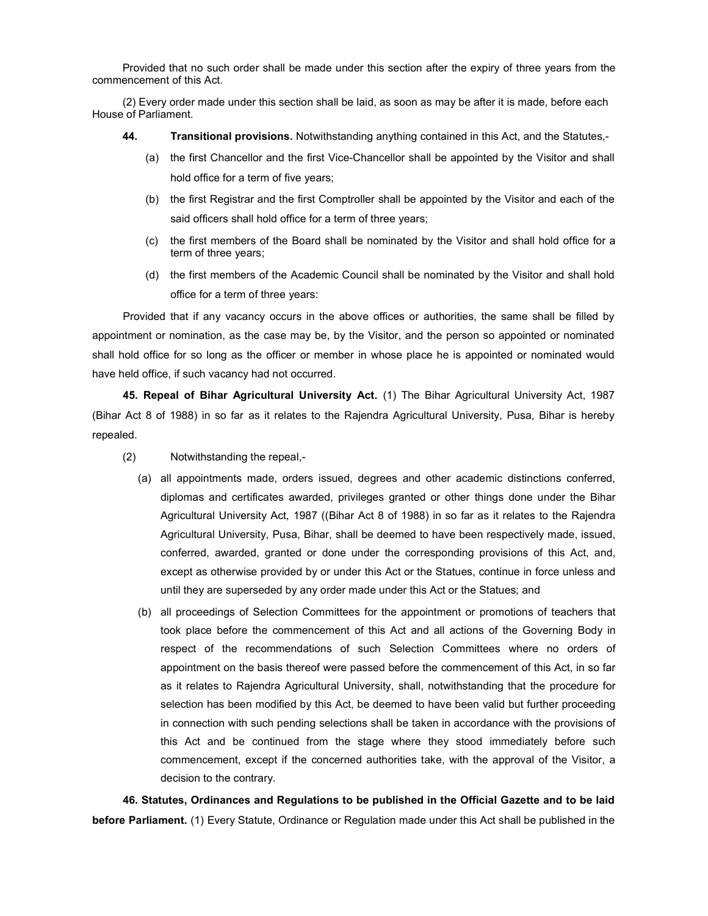Provided that no such order shall be made under this section after the expiry of three years from the commencement of this Act.

(2) Every order made under this section shall be laid, as soon as may be after it is made, before each House of Parliament.

- 44. Transitional provisions. Notwithstanding anything contained in this Act, and the Statutes,-
	- (a) the first Chancellor and the first Vice-Chancellor shall be appointed by the Visitor and shall hold office for a term of five years;
	- (b) the first Registrar and the first Comptroller shall be appointed by the Visitor and each of the said officers shall hold office for a term of three years;
	- (c) the first members of the Board shall be nominated by the Visitor and shall hold office for a term of three years;
	- (d) the first members of the Academic Council shall be nominated by the Visitor and shall hold office for a term of three years:

Provided that if any vacancy occurs in the above offices or authorities, the same shall be filled by appointment or nomination, as the case may be, by the Visitor, and the person so appointed or nominated shall hold office for so long as the officer or member in whose place he is appointed or nominated would have held office, if such vacancy had not occurred.

45. Repeal of Bihar Agricultural University Act. (1) The Bihar Agricultural University Act, 1987 (Bihar Act 8 of 1988) in so far as it relates to the Rajendra Agricultural University, Pusa, Bihar is hereby repealed.

- (2) Notwithstanding the repeal,-
	- (a) all appointments made, orders issued, degrees and other academic distinctions conferred, diplomas and certificates awarded, privileges granted or other things done under the Bihar Agricultural University Act, 1987 ((Bihar Act 8 of 1988) in so far as it relates to the Rajendra Agricultural University, Pusa, Bihar, shall be deemed to have been respectively made, issued, conferred, awarded, granted or done under the corresponding provisions of this Act, and, except as otherwise provided by or under this Act or the Statues, continue in force unless and until they are superseded by any order made under this Act or the Statues; and
	- (b) all proceedings of Selection Committees for the appointment or promotions of teachers that took place before the commencement of this Act and all actions of the Governing Body in respect of the recommendations of such Selection Committees where no orders of appointment on the basis thereof were passed before the commencement of this Act, in so far as it relates to Rajendra Agricultural University, shall, notwithstanding that the procedure for selection has been modified by this Act, be deemed to have been valid but further proceeding in connection with such pending selections shall be taken in accordance with the provisions of this Act and be continued from the stage where they stood immediately before such commencement, except if the concerned authorities take, with the approval of the Visitor, a decision to the contrary.

46. Statutes, Ordinances and Regulations to be published in the Official Gazette and to be laid before Parliament. (1) Every Statute, Ordinance or Regulation made under this Act shall be published in the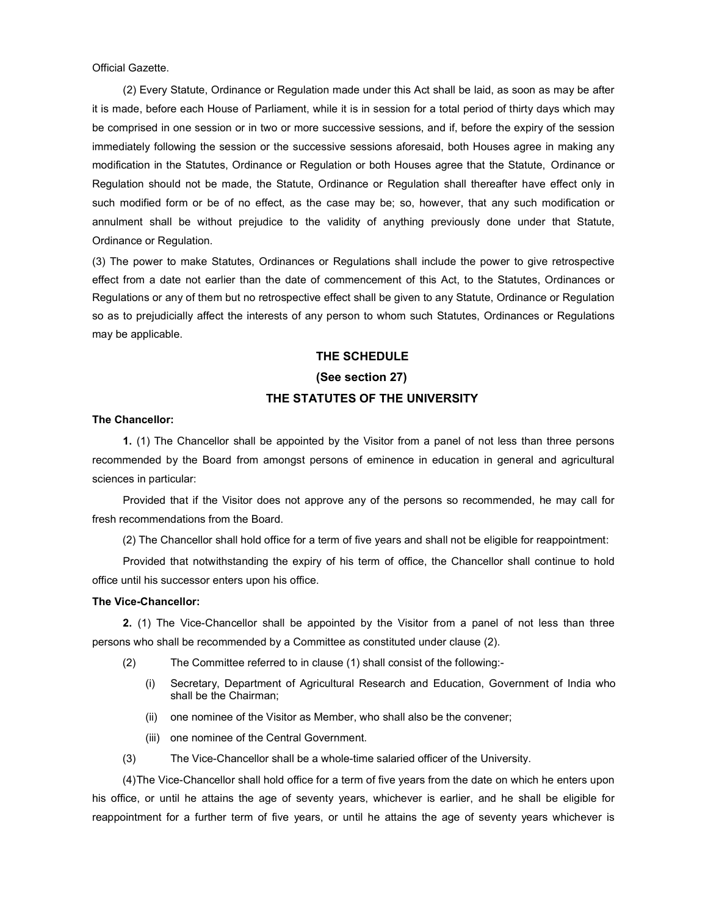Official Gazette.

(2) Every Statute, Ordinance or Regulation made under this Act shall be laid, as soon as may be after it is made, before each House of Parliament, while it is in session for a total period of thirty days which may be comprised in one session or in two or more successive sessions, and if, before the expiry of the session immediately following the session or the successive sessions aforesaid, both Houses agree in making any modification in the Statutes, Ordinance or Regulation or both Houses agree that the Statute, Ordinance or Regulation should not be made, the Statute, Ordinance or Regulation shall thereafter have effect only in such modified form or be of no effect, as the case may be; so, however, that any such modification or annulment shall be without prejudice to the validity of anything previously done under that Statute, Ordinance or Regulation.

(3) The power to make Statutes, Ordinances or Regulations shall include the power to give retrospective effect from a date not earlier than the date of commencement of this Act, to the Statutes, Ordinances or Regulations or any of them but no retrospective effect shall be given to any Statute, Ordinance or Regulation so as to prejudicially affect the interests of any person to whom such Statutes, Ordinances or Regulations may be applicable.

# THE SCHEDULE

# (See section 27)

# THE STATUTES OF THE UNIVERSITY

# The Chancellor:

1. (1) The Chancellor shall be appointed by the Visitor from a panel of not less than three persons recommended by the Board from amongst persons of eminence in education in general and agricultural sciences in particular:

Provided that if the Visitor does not approve any of the persons so recommended, he may call for fresh recommendations from the Board.

(2) The Chancellor shall hold office for a term of five years and shall not be eligible for reappointment:

Provided that notwithstanding the expiry of his term of office, the Chancellor shall continue to hold office until his successor enters upon his office.

# The Vice-Chancellor:

2. (1) The Vice-Chancellor shall be appointed by the Visitor from a panel of not less than three persons who shall be recommended by a Committee as constituted under clause (2).

- (2) The Committee referred to in clause (1) shall consist of the following:-
	- (i) Secretary, Department of Agricultural Research and Education, Government of India who shall be the Chairman;
	- (ii) one nominee of the Visitor as Member, who shall also be the convener;
	- (iii) one nominee of the Central Government.
- (3) The Vice-Chancellor shall be a whole-time salaried officer of the University.

(4) The Vice-Chancellor shall hold office for a term of five years from the date on which he enters upon his office, or until he attains the age of seventy years, whichever is earlier, and he shall be eligible for reappointment for a further term of five years, or until he attains the age of seventy years whichever is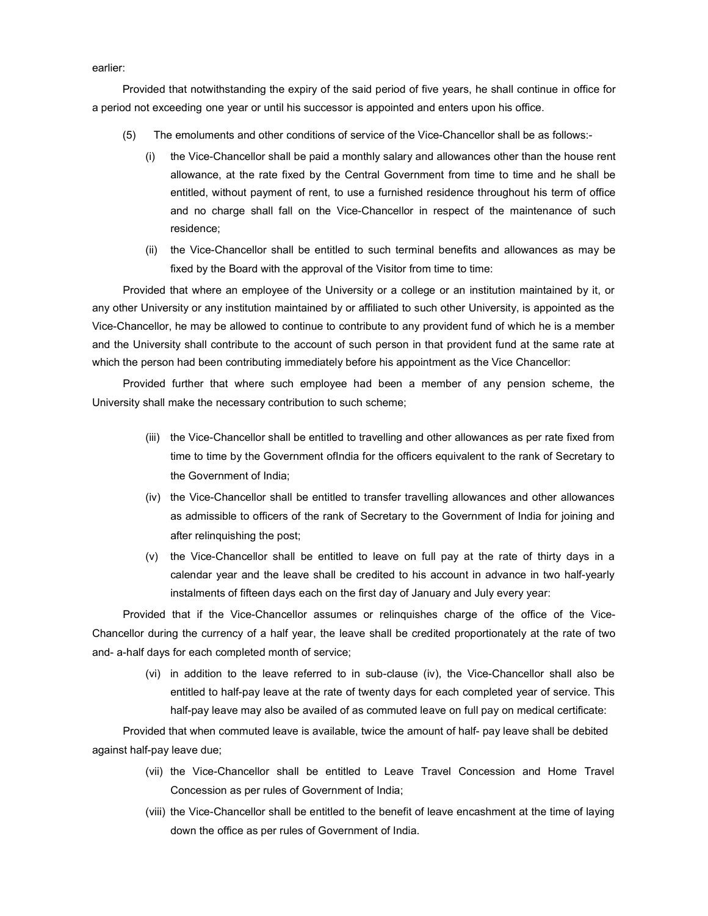earlier:

Provided that notwithstanding the expiry of the said period of five years, he shall continue in office for a period not exceeding one year or until his successor is appointed and enters upon his office.

- (5) The emoluments and other conditions of service of the Vice-Chancellor shall be as follows:-
	- (i) the Vice-Chancellor shall be paid a monthly salary and allowances other than the house rent allowance, at the rate fixed by the Central Government from time to time and he shall be entitled, without payment of rent, to use a furnished residence throughout his term of office and no charge shall fall on the Vice-Chancellor in respect of the maintenance of such residence;
	- (ii) the Vice-Chancellor shall be entitled to such terminal benefits and allowances as may be fixed by the Board with the approval of the Visitor from time to time:

Provided that where an employee of the University or a college or an institution maintained by it, or any other University or any institution maintained by or affiliated to such other University, is appointed as the Vice-Chancellor, he may be allowed to continue to contribute to any provident fund of which he is a member and the University shall contribute to the account of such person in that provident fund at the same rate at which the person had been contributing immediately before his appointment as the Vice Chancellor:

Provided further that where such employee had been a member of any pension scheme, the University shall make the necessary contribution to such scheme;

- (iii) the Vice-Chancellor shall be entitled to travelling and other allowances as per rate fixed from time to time by the Government ofIndia for the officers equivalent to the rank of Secretary to the Government of India;
- (iv) the Vice-Chancellor shall be entitled to transfer travelling allowances and other allowances as admissible to officers of the rank of Secretary to the Government of India for joining and after relinquishing the post;
- (v) the Vice-Chancellor shall be entitled to leave on full pay at the rate of thirty days in a calendar year and the leave shall be credited to his account in advance in two half-yearly instalments of fifteen days each on the first day of January and July every year:

Provided that if the Vice-Chancellor assumes or relinquishes charge of the office of the Vice-Chancellor during the currency of a half year, the leave shall be credited proportionately at the rate of two and- a-half days for each completed month of service;

(vi) in addition to the leave referred to in sub-clause (iv), the Vice-Chancellor shall also be entitled to half-pay leave at the rate of twenty days for each completed year of service. This half-pay leave may also be availed of as commuted leave on full pay on medical certificate:

Provided that when commuted leave is available, twice the amount of half- pay leave shall be debited against half-pay leave due;

- (vii) the Vice-Chancellor shall be entitled to Leave Travel Concession and Home Travel Concession as per rules of Government of India;
- (viii) the Vice-Chancellor shall be entitled to the benefit of leave encashment at the time of laying down the office as per rules of Government of India.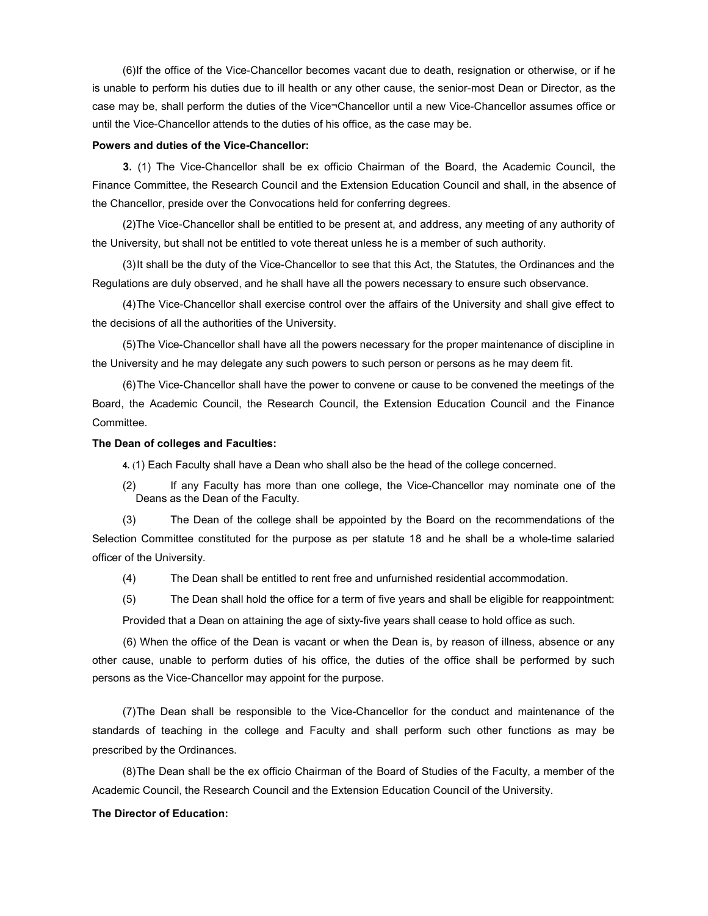(6) If the office of the Vice-Chancellor becomes vacant due to death, resignation or otherwise, or if he is unable to perform his duties due to ill health or any other cause, the senior-most Dean or Director, as the case may be, shall perform the duties of the Vice¬Chancellor until a new Vice-Chancellor assumes office or until the Vice-Chancellor attends to the duties of his office, as the case may be.

### Powers and duties of the Vice-Chancellor:

3. (1) The Vice-Chancellor shall be ex officio Chairman of the Board, the Academic Council, the Finance Committee, the Research Council and the Extension Education Council and shall, in the absence of the Chancellor, preside over the Convocations held for conferring degrees.

(2) The Vice-Chancellor shall be entitled to be present at, and address, any meeting of any authority of the University, but shall not be entitled to vote thereat unless he is a member of such authority.

(3) It shall be the duty of the Vice-Chancellor to see that this Act, the Statutes, the Ordinances and the Regulations are duly observed, and he shall have all the powers necessary to ensure such observance.

(4) The Vice-Chancellor shall exercise control over the affairs of the University and shall give effect to the decisions of all the authorities of the University.

(5) The Vice-Chancellor shall have all the powers necessary for the proper maintenance of discipline in the University and he may delegate any such powers to such person or persons as he may deem fit.

(6) The Vice-Chancellor shall have the power to convene or cause to be convened the meetings of the Board, the Academic Council, the Research Council, the Extension Education Council and the Finance Committee.

# The Dean of colleges and Faculties:

4. (1) Each Faculty shall have a Dean who shall also be the head of the college concerned.

(2) If any Faculty has more than one college, the Vice-Chancellor may nominate one of the Deans as the Dean of the Faculty.

(3) The Dean of the college shall be appointed by the Board on the recommendations of the Selection Committee constituted for the purpose as per statute 18 and he shall be a whole-time salaried officer of the University.

- (4) The Dean shall be entitled to rent free and unfurnished residential accommodation.
- (5) The Dean shall hold the office for a term of five years and shall be eligible for reappointment:

Provided that a Dean on attaining the age of sixty-five years shall cease to hold office as such.

(6) When the office of the Dean is vacant or when the Dean is, by reason of illness, absence or any other cause, unable to perform duties of his office, the duties of the office shall be performed by such persons as the Vice-Chancellor may appoint for the purpose.

(7) The Dean shall be responsible to the Vice-Chancellor for the conduct and maintenance of the standards of teaching in the college and Faculty and shall perform such other functions as may be prescribed by the Ordinances.

(8) The Dean shall be the ex officio Chairman of the Board of Studies of the Faculty, a member of the Academic Council, the Research Council and the Extension Education Council of the University.

# The Director of Education: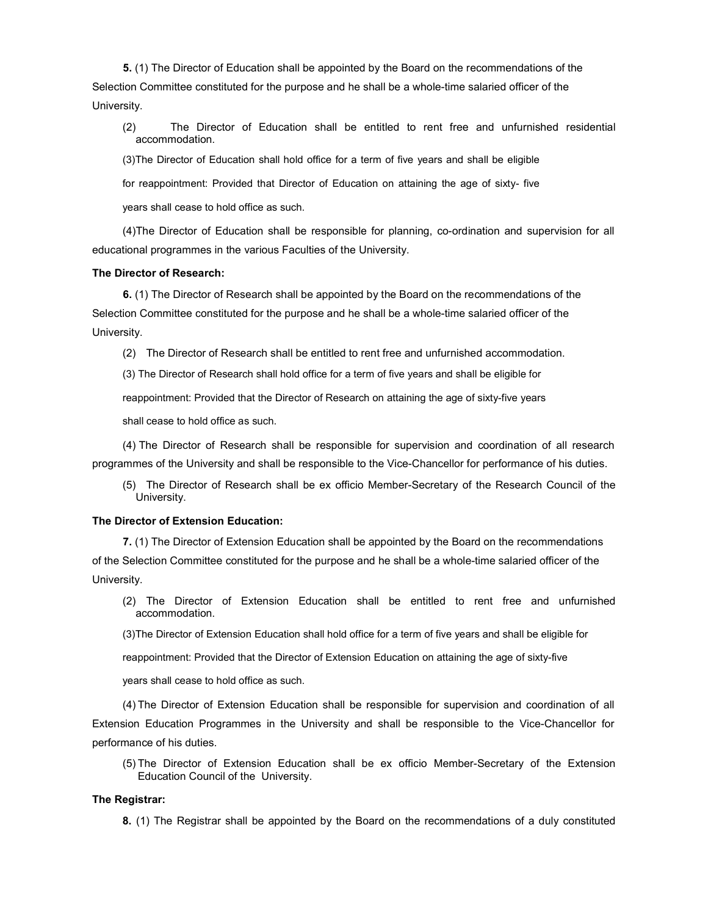5. (1) The Director of Education shall be appointed by the Board on the recommendations of the Selection Committee constituted for the purpose and he shall be a whole-time salaried officer of the University.

(2) The Director of Education shall be entitled to rent free and unfurnished residential accommodation.

(3) The Director of Education shall hold office for a term of five years and shall be eligible

for reappointment: Provided that Director of Education on attaining the age of sixty- five

years shall cease to hold office as such.

(4) The Director of Education shall be responsible for planning, co-ordination and supervision for all educational programmes in the various Faculties of the University.

# The Director of Research:

6. (1) The Director of Research shall be appointed by the Board on the recommendations of the Selection Committee constituted for the purpose and he shall be a whole-time salaried officer of the University.

(2) The Director of Research shall be entitled to rent free and unfurnished accommodation.

(3) The Director of Research shall hold office for a term of five years and shall be eligible for

reappointment: Provided that the Director of Research on attaining the age of sixty-five years

shall cease to hold office as such.

(4) The Director of Research shall be responsible for supervision and coordination of all research programmes of the University and shall be responsible to the Vice-Chancellor for performance of his duties.

(5) The Director of Research shall be ex officio Member-Secretary of the Research Council of the University.

# The Director of Extension Education:

7. (1) The Director of Extension Education shall be appointed by the Board on the recommendations of the Selection Committee constituted for the purpose and he shall be a whole-time salaried officer of the University.

(2) The Director of Extension Education shall be entitled to rent free and unfurnished accommodation.

(3) The Director of Extension Education shall hold office for a term of five years and shall be eligible for

reappointment: Provided that the Director of Extension Education on attaining the age of sixty-five

years shall cease to hold office as such.

(4) The Director of Extension Education shall be responsible for supervision and coordination of all Extension Education Programmes in the University and shall be responsible to the Vice-Chancellor for performance of his duties.

(5) The Director of Extension Education shall be ex officio Member-Secretary of the Extension Education Council of the University.

### The Registrar:

8. (1) The Registrar shall be appointed by the Board on the recommendations of a duly constituted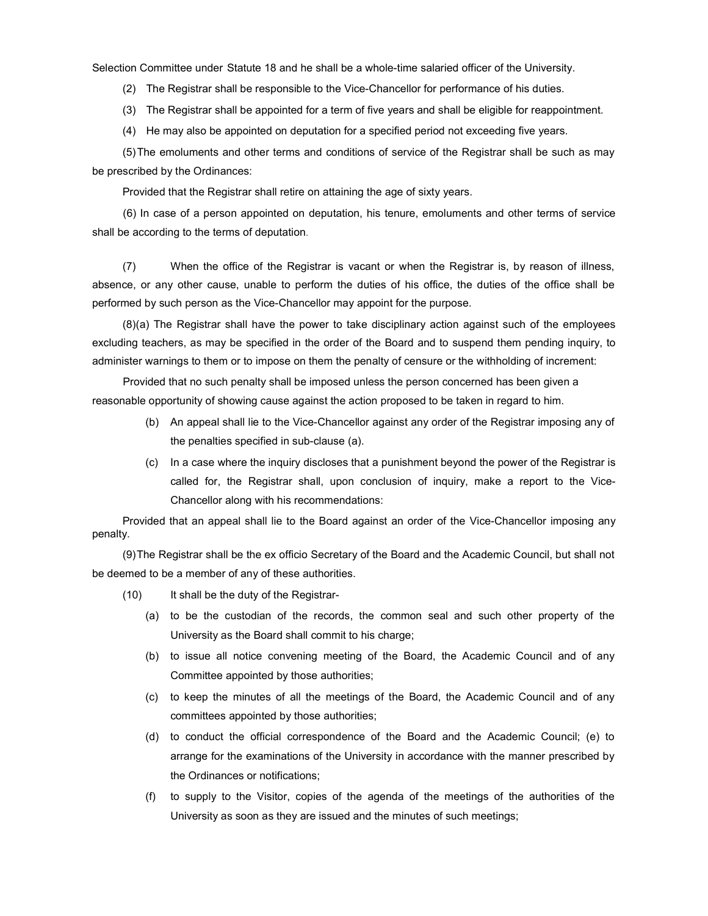Selection Committee under Statute 18 and he shall be a whole-time salaried officer of the University.

(2) The Registrar shall be responsible to the Vice-Chancellor for performance of his duties.

- (3) The Registrar shall be appointed for a term of five years and shall be eligible for reappointment.
- (4) He may also be appointed on deputation for a specified period not exceeding five years.

(5) The emoluments and other terms and conditions of service of the Registrar shall be such as may be prescribed by the Ordinances:

Provided that the Registrar shall retire on attaining the age of sixty years.

(6) In case of a person appointed on deputation, his tenure, emoluments and other terms of service shall be according to the terms of deputation.

(7) When the office of the Registrar is vacant or when the Registrar is, by reason of illness, absence, or any other cause, unable to perform the duties of his office, the duties of the office shall be performed by such person as the Vice-Chancellor may appoint for the purpose.

(8) (a) The Registrar shall have the power to take disciplinary action against such of the employees excluding teachers, as may be specified in the order of the Board and to suspend them pending inquiry, to administer warnings to them or to impose on them the penalty of censure or the withholding of increment:

Provided that no such penalty shall be imposed unless the person concerned has been given a reasonable opportunity of showing cause against the action proposed to be taken in regard to him.

- (b) An appeal shall lie to the Vice-Chancellor against any order of the Registrar imposing any of the penalties specified in sub-clause (a).
- (c) In a case where the inquiry discloses that a punishment beyond the power of the Registrar is called for, the Registrar shall, upon conclusion of inquiry, make a report to the Vice-Chancellor along with his recommendations:

Provided that an appeal shall lie to the Board against an order of the Vice-Chancellor imposing any penalty.

(9) The Registrar shall be the ex officio Secretary of the Board and the Academic Council, but shall not be deemed to be a member of any of these authorities.

- (10) It shall be the duty of the Registrar-
	- (a) to be the custodian of the records, the common seal and such other property of the University as the Board shall commit to his charge;
	- (b) to issue all notice convening meeting of the Board, the Academic Council and of any Committee appointed by those authorities;
	- (c) to keep the minutes of all the meetings of the Board, the Academic Council and of any committees appointed by those authorities;
	- (d) to conduct the official correspondence of the Board and the Academic Council; (e) to arrange for the examinations of the University in accordance with the manner prescribed by the Ordinances or notifications;
	- (f) to supply to the Visitor, copies of the agenda of the meetings of the authorities of the University as soon as they are issued and the minutes of such meetings;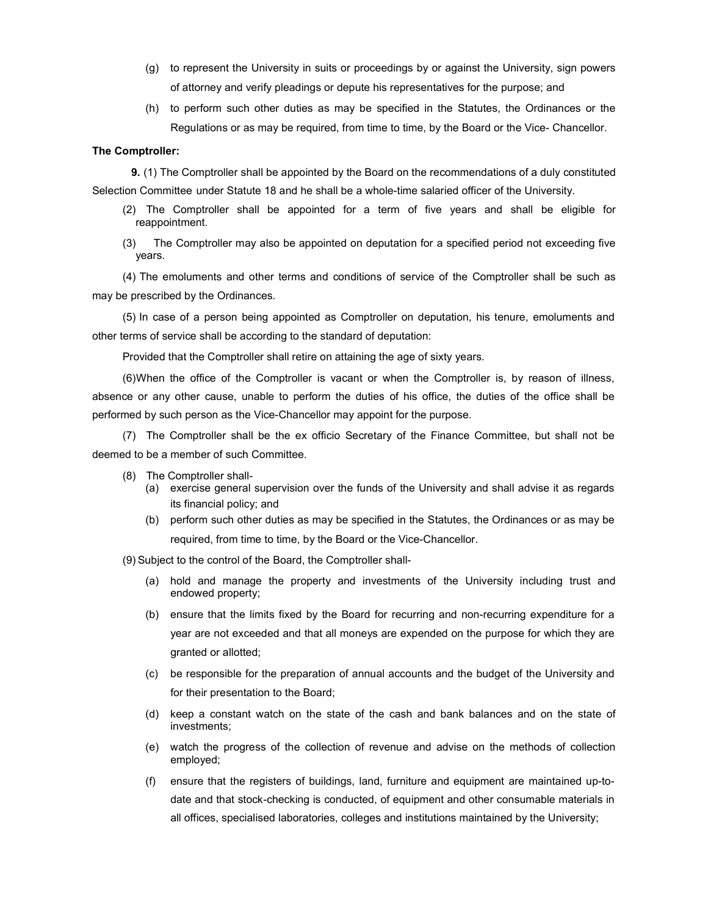- (g) to represent the University in suits or proceedings by or against the University, sign powers of attorney and verify pleadings or depute his representatives for the purpose; and
- (h) to perform such other duties as may be specified in the Statutes, the Ordinances or the Regulations or as may be required, from time to time, by the Board or the Vice- Chancellor.

### The Comptroller:

9. (1) The Comptroller shall be appointed by the Board on the recommendations of a duly constituted Selection Committee under Statute 18 and he shall be a whole-time salaried officer of the University.

- (2) The Comptroller shall be appointed for a term of five years and shall be eligible for reappointment.
- (3) The Comptroller may also be appointed on deputation for a specified period not exceeding five years.

(4) The emoluments and other terms and conditions of service of the Comptroller shall be such as may be prescribed by the Ordinances.

(5) In case of a person being appointed as Comptroller on deputation, his tenure, emoluments and other terms of service shall be according to the standard of deputation:

Provided that the Comptroller shall retire on attaining the age of sixty years.

(6) When the office of the Comptroller is vacant or when the Comptroller is, by reason of illness, absence or any other cause, unable to perform the duties of his office, the duties of the office shall be performed by such person as the Vice-Chancellor may appoint for the purpose.

(7) The Comptroller shall be the ex officio Secretary of the Finance Committee, but shall not be deemed to be a member of such Committee.

- (8) The Comptroller shall-
	- (a) exercise general supervision over the funds of the University and shall advise it as regards its financial policy; and
	- (b) perform such other duties as may be specified in the Statutes, the Ordinances or as may be required, from time to time, by the Board or the Vice-Chancellor.

(9) Subject to the control of the Board, the Comptroller shall-

- (a) hold and manage the property and investments of the University including trust and endowed property;
- (b) ensure that the limits fixed by the Board for recurring and non-recurring expenditure for a year are not exceeded and that all moneys are expended on the purpose for which they are granted or allotted;
- (c) be responsible for the preparation of annual accounts and the budget of the University and for their presentation to the Board;
- (d) keep a constant watch on the state of the cash and bank balances and on the state of investments;
- (e) watch the progress of the collection of revenue and advise on the methods of collection employed;
- (f) ensure that the registers of buildings, land, furniture and equipment are maintained up-todate and that stock-checking is conducted, of equipment and other consumable materials in all offices, specialised laboratories, colleges and institutions maintained by the University;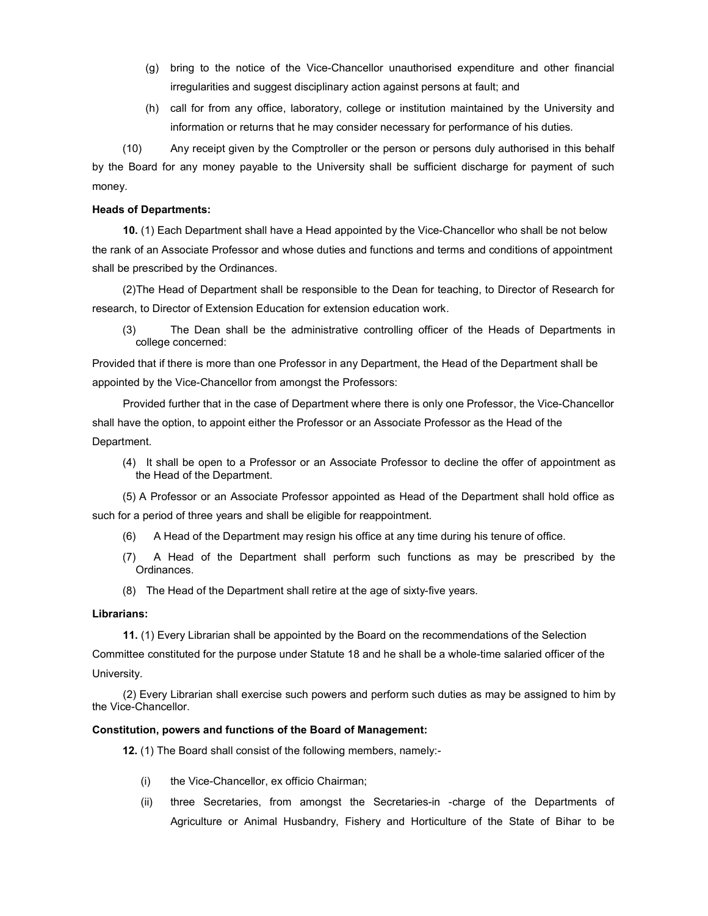- (g) bring to the notice of the Vice-Chancellor unauthorised expenditure and other financial irregularities and suggest disciplinary action against persons at fault; and
- (h) call for from any office, laboratory, college or institution maintained by the University and information or returns that he may consider necessary for performance of his duties.

(10) Any receipt given by the Comptroller or the person or persons duly authorised in this behalf by the Board for any money payable to the University shall be sufficient discharge for payment of such money.

# Heads of Departments:

10. (1) Each Department shall have a Head appointed by the Vice-Chancellor who shall be not below the rank of an Associate Professor and whose duties and functions and terms and conditions of appointment shall be prescribed by the Ordinances.

(2) The Head of Department shall be responsible to the Dean for teaching, to Director of Research for research, to Director of Extension Education for extension education work.

(3) The Dean shall be the administrative controlling officer of the Heads of Departments in college concerned:

Provided that if there is more than one Professor in any Department, the Head of the Department shall be appointed by the Vice-Chancellor from amongst the Professors:

Provided further that in the case of Department where there is only one Professor, the Vice-Chancellor shall have the option, to appoint either the Professor or an Associate Professor as the Head of the Department.

(4) It shall be open to a Professor or an Associate Professor to decline the offer of appointment as the Head of the Department.

(5) A Professor or an Associate Professor appointed as Head of the Department shall hold office as such for a period of three years and shall be eligible for reappointment.

- (6) A Head of the Department may resign his office at any time during his tenure of office.
- (7) A Head of the Department shall perform such functions as may be prescribed by the Ordinances.
- (8) The Head of the Department shall retire at the age of sixty-five years.

# Librarians:

11. (1) Every Librarian shall be appointed by the Board on the recommendations of the Selection

Committee constituted for the purpose under Statute 18 and he shall be a whole-time salaried officer of the University.

(2) Every Librarian shall exercise such powers and perform such duties as may be assigned to him by the Vice-Chancellor.

# Constitution, powers and functions of the Board of Management:

12. (1) The Board shall consist of the following members, namely:-

- (i) the Vice-Chancellor, ex officio Chairman;
- (ii) three Secretaries, from amongst the Secretaries-in -charge of the Departments of Agriculture or Animal Husbandry, Fishery and Horticulture of the State of Bihar to be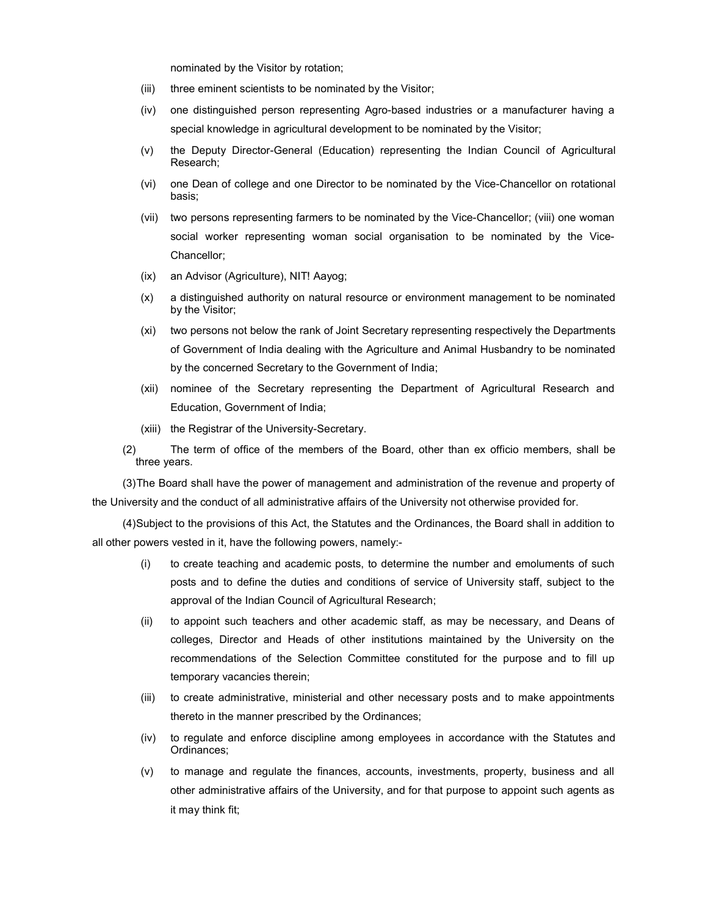nominated by the Visitor by rotation;

- (iii) three eminent scientists to be nominated by the Visitor;
- (iv) one distinguished person representing Agro-based industries or a manufacturer having a special knowledge in agricultural development to be nominated by the Visitor;
- (v) the Deputy Director-General (Education) representing the Indian Council of Agricultural Research;
- (vi) one Dean of college and one Director to be nominated by the Vice-Chancellor on rotational basis;
- (vii) two persons representing farmers to be nominated by the Vice-Chancellor; (viii) one woman social worker representing woman social organisation to be nominated by the Vice-Chancellor;
- (ix) an Advisor (Agriculture), NIT! Aayog;
- (x) a distinguished authority on natural resource or environment management to be nominated by the Visitor;
- (xi) two persons not below the rank of Joint Secretary representing respectively the Departments of Government of India dealing with the Agriculture and Animal Husbandry to be nominated by the concerned Secretary to the Government of India;
- (xii) nominee of the Secretary representing the Department of Agricultural Research and Education, Government of India;
- (xiii) the Registrar of the University-Secretary.
- (2) The term of office of the members of the Board, other than ex officio members, shall be three years.

(3) The Board shall have the power of management and administration of the revenue and property of the University and the conduct of all administrative affairs of the University not otherwise provided for.

(4) Subject to the provisions of this Act, the Statutes and the Ordinances, the Board shall in addition to all other powers vested in it, have the following powers, namely:-

- (i) to create teaching and academic posts, to determine the number and emoluments of such posts and to define the duties and conditions of service of University staff, subject to the approval of the Indian Council of Agricultural Research;
- (ii) to appoint such teachers and other academic staff, as may be necessary, and Deans of colleges, Director and Heads of other institutions maintained by the University on the recommendations of the Selection Committee constituted for the purpose and to fill up temporary vacancies therein;
- (iii) to create administrative, ministerial and other necessary posts and to make appointments thereto in the manner prescribed by the Ordinances;
- (iv) to regulate and enforce discipline among employees in accordance with the Statutes and Ordinances;
- (v) to manage and regulate the finances, accounts, investments, property, business and all other administrative affairs of the University, and for that purpose to appoint such agents as it may think fit;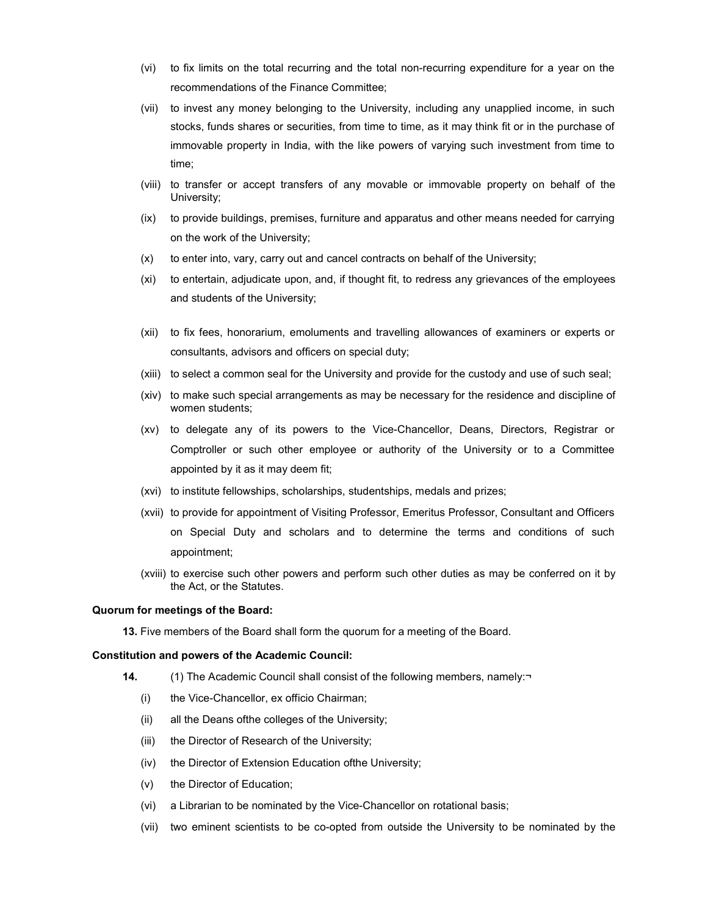- (vi) to fix limits on the total recurring and the total non-recurring expenditure for a year on the recommendations of the Finance Committee;
- (vii) to invest any money belonging to the University, including any unapplied income, in such stocks, funds shares or securities, from time to time, as it may think fit or in the purchase of immovable property in India, with the like powers of varying such investment from time to time;
- (viii) to transfer or accept transfers of any movable or immovable property on behalf of the University;
- (ix) to provide buildings, premises, furniture and apparatus and other means needed for carrying on the work of the University;
- (x) to enter into, vary, carry out and cancel contracts on behalf of the University;
- (xi) to entertain, adjudicate upon, and, if thought fit, to redress any grievances of the employees and students of the University;
- (xii) to fix fees, honorarium, emoluments and travelling allowances of examiners or experts or consultants, advisors and officers on special duty;
- (xiii) to select a common seal for the University and provide for the custody and use of such seal;
- (xiv) to make such special arrangements as may be necessary for the residence and discipline of women students;
- (xv) to delegate any of its powers to the Vice-Chancellor, Deans, Directors, Registrar or Comptroller or such other employee or authority of the University or to a Committee appointed by it as it may deem fit;
- (xvi) to institute fellowships, scholarships, studentships, medals and prizes;
- (xvii) to provide for appointment of Visiting Professor, Emeritus Professor, Consultant and Officers on Special Duty and scholars and to determine the terms and conditions of such appointment;
- (xviii) to exercise such other powers and perform such other duties as may be conferred on it by the Act, or the Statutes.

#### Quorum for meetings of the Board:

13. Five members of the Board shall form the quorum for a meeting of the Board.

### Constitution and powers of the Academic Council:

- 14. (1) The Academic Council shall consist of the following members, namely:
	- (i) the Vice-Chancellor, ex officio Chairman;
	- (ii) all the Deans ofthe colleges of the University;
	- (iii) the Director of Research of the University;
	- (iv) the Director of Extension Education ofthe University;
	- (v) the Director of Education;
	- (vi) a Librarian to be nominated by the Vice-Chancellor on rotational basis;
	- (vii) two eminent scientists to be co-opted from outside the University to be nominated by the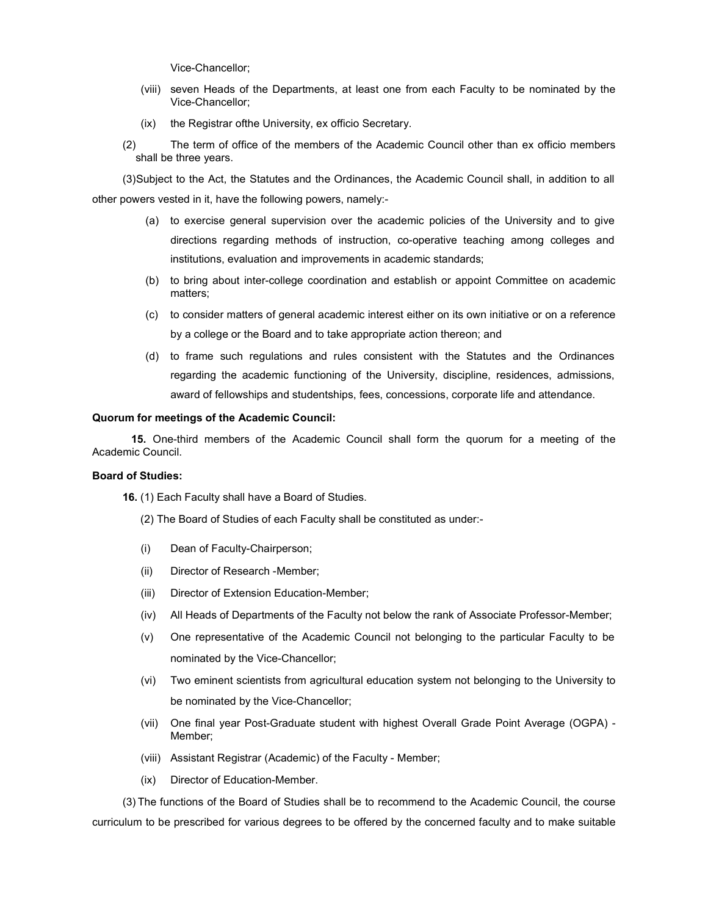Vice-Chancellor;

- (viii) seven Heads of the Departments, at least one from each Faculty to be nominated by the Vice-Chancellor;
- (ix) the Registrar ofthe University, ex officio Secretary.
- (2) The term of office of the members of the Academic Council other than ex officio members shall be three years.

(3) Subject to the Act, the Statutes and the Ordinances, the Academic Council shall, in addition to all other powers vested in it, have the following powers, namely:-

- (a) to exercise general supervision over the academic policies of the University and to give directions regarding methods of instruction, co-operative teaching among colleges and institutions, evaluation and improvements in academic standards;
- (b) to bring about inter-college coordination and establish or appoint Committee on academic matters;
- (c) to consider matters of general academic interest either on its own initiative or on a reference by a college or the Board and to take appropriate action thereon; and
- (d) to frame such regulations and rules consistent with the Statutes and the Ordinances regarding the academic functioning of the University, discipline, residences, admissions, award of fellowships and studentships, fees, concessions, corporate life and attendance.

# Quorum for meetings of the Academic Council:

15. One-third members of the Academic Council shall form the quorum for a meeting of the Academic Council.

# Board of Studies:

16. (1) Each Faculty shall have a Board of Studies.

(2) The Board of Studies of each Faculty shall be constituted as under:-

- (i) Dean of Faculty-Chairperson;
- (ii) Director of Research -Member;
- (iii) Director of Extension Education-Member;
- (iv) All Heads of Departments of the Faculty not below the rank of Associate Professor-Member;
- (v) One representative of the Academic Council not belonging to the particular Faculty to be nominated by the Vice-Chancellor;
- (vi) Two eminent scientists from agricultural education system not belonging to the University to be nominated by the Vice-Chancellor;
- (vii) One final year Post-Graduate student with highest Overall Grade Point Average (OGPA) Member;
- (viii) Assistant Registrar (Academic) of the Faculty Member;
- (ix) Director of Education-Member.

(3) The functions of the Board of Studies shall be to recommend to the Academic Council, the course curriculum to be prescribed for various degrees to be offered by the concerned faculty and to make suitable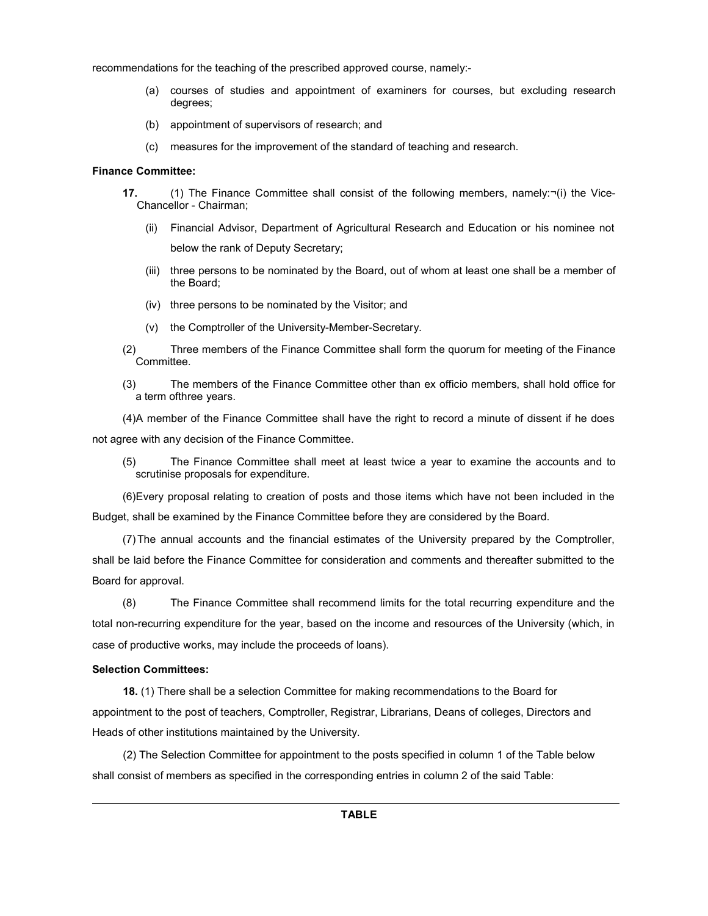recommendations for the teaching of the prescribed approved course, namely:-

- (a) courses of studies and appointment of examiners for courses, but excluding research degrees;
- (b) appointment of supervisors of research; and
- (c) measures for the improvement of the standard of teaching and research.

# Finance Committee:

- 17. (1) The Finance Committee shall consist of the following members, namely:¬(i) the Vice-Chancellor - Chairman;
	- (ii) Financial Advisor, Department of Agricultural Research and Education or his nominee not below the rank of Deputy Secretary;
	- (iii) three persons to be nominated by the Board, out of whom at least one shall be a member of the Board;
	- (iv) three persons to be nominated by the Visitor; and
	- (v) the Comptroller of the University-Member-Secretary.
- (2) Three members of the Finance Committee shall form the quorum for meeting of the Finance Committee.
- (3) The members of the Finance Committee other than ex officio members, shall hold office for a term ofthree years.

(4) A member of the Finance Committee shall have the right to record a minute of dissent if he does not agree with any decision of the Finance Committee.

(5) The Finance Committee shall meet at least twice a year to examine the accounts and to scrutinise proposals for expenditure.

(6) Every proposal relating to creation of posts and those items which have not been included in the Budget, shall be examined by the Finance Committee before they are considered by the Board.

(7) The annual accounts and the financial estimates of the University prepared by the Comptroller, shall be laid before the Finance Committee for consideration and comments and thereafter submitted to the Board for approval.

(8) The Finance Committee shall recommend limits for the total recurring expenditure and the total non-recurring expenditure for the year, based on the income and resources of the University (which, in case of productive works, may include the proceeds of loans).

# Selection Committees:

18. (1) There shall be a selection Committee for making recommendations to the Board for appointment to the post of teachers, Comptroller, Registrar, Librarians, Deans of colleges, Directors and Heads of other institutions maintained by the University.

(2) The Selection Committee for appointment to the posts specified in column 1 of the Table below shall consist of members as specified in the corresponding entries in column 2 of the said Table: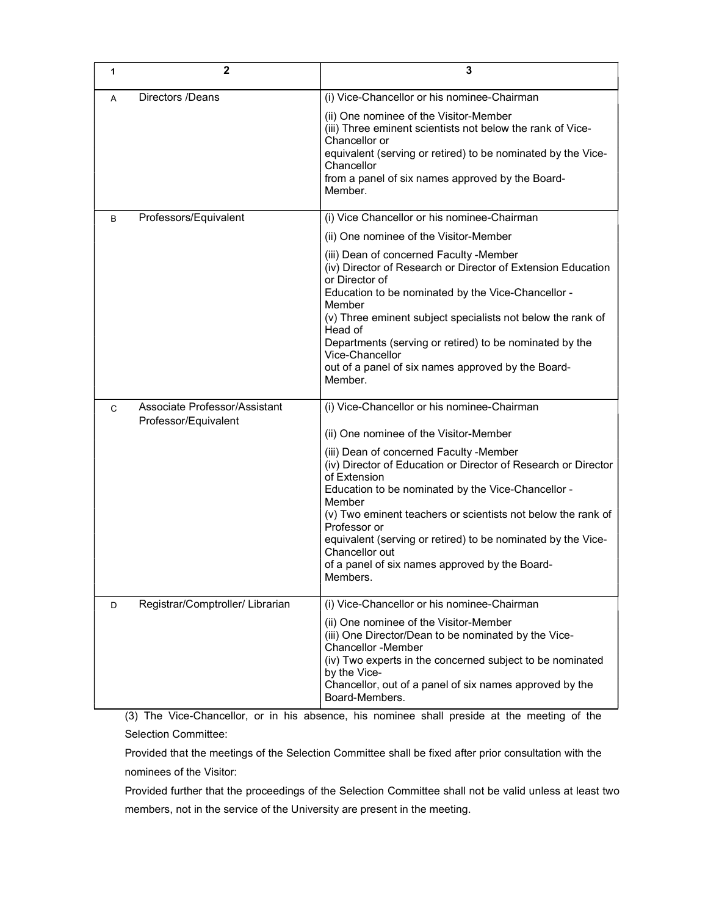| 1 | $\mathbf{2}$                                          | 3                                                                                                                                                                                                                                                                                                                                                                                                                                                                                                                   |
|---|-------------------------------------------------------|---------------------------------------------------------------------------------------------------------------------------------------------------------------------------------------------------------------------------------------------------------------------------------------------------------------------------------------------------------------------------------------------------------------------------------------------------------------------------------------------------------------------|
| A | Directors /Deans                                      | (i) Vice-Chancellor or his nominee-Chairman<br>(ii) One nominee of the Visitor-Member<br>(iii) Three eminent scientists not below the rank of Vice-<br>Chancellor or<br>equivalent (serving or retired) to be nominated by the Vice-<br>Chancellor<br>from a panel of six names approved by the Board-<br>Member.                                                                                                                                                                                                   |
| B | Professors/Equivalent                                 | (i) Vice Chancellor or his nominee-Chairman<br>(ii) One nominee of the Visitor-Member<br>(iii) Dean of concerned Faculty - Member<br>(iv) Director of Research or Director of Extension Education<br>or Director of<br>Education to be nominated by the Vice-Chancellor -<br>Member<br>(v) Three eminent subject specialists not below the rank of<br>Head of<br>Departments (serving or retired) to be nominated by the<br>Vice-Chancellor<br>out of a panel of six names approved by the Board-<br>Member.        |
| C | Associate Professor/Assistant<br>Professor/Equivalent | (i) Vice-Chancellor or his nominee-Chairman<br>(ii) One nominee of the Visitor-Member<br>(iii) Dean of concerned Faculty - Member<br>(iv) Director of Education or Director of Research or Director<br>of Extension<br>Education to be nominated by the Vice-Chancellor -<br>Member<br>(v) Two eminent teachers or scientists not below the rank of<br>Professor or<br>equivalent (serving or retired) to be nominated by the Vice-<br>Chancellor out<br>of a panel of six names approved by the Board-<br>Members. |
| D | Registrar/Comptroller/ Librarian                      | (i) Vice-Chancellor or his nominee-Chairman<br>(ii) One nominee of the Visitor-Member<br>(iii) One Director/Dean to be nominated by the Vice-<br><b>Chancellor -Member</b><br>(iv) Two experts in the concerned subject to be nominated<br>by the Vice-<br>Chancellor, out of a panel of six names approved by the<br>Board-Members.                                                                                                                                                                                |

(3) The Vice-Chancellor, or in his absence, his nominee shall preside at the meeting of the Selection Committee:

Provided that the meetings of the Selection Committee shall be fixed after prior consultation with the nominees of the Visitor:

Provided further that the proceedings of the Selection Committee shall not be valid unless at least two members, not in the service of the University are present in the meeting.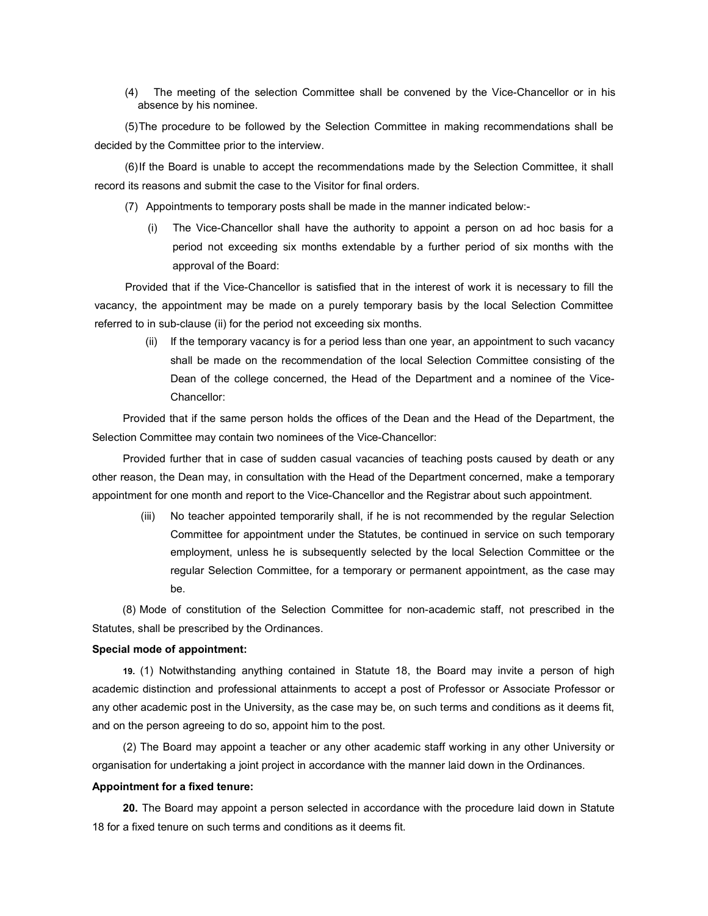(4) The meeting of the selection Committee shall be convened by the Vice-Chancellor or in his absence by his nominee.

(5) The procedure to be followed by the Selection Committee in making recommendations shall be decided by the Committee prior to the interview.

(6) If the Board is unable to accept the recommendations made by the Selection Committee, it shall record its reasons and submit the case to the Visitor for final orders.

- (7) Appointments to temporary posts shall be made in the manner indicated below:-
	- (i) The Vice-Chancellor shall have the authority to appoint a person on ad hoc basis for a period not exceeding six months extendable by a further period of six months with the approval of the Board:

Provided that if the Vice-Chancellor is satisfied that in the interest of work it is necessary to fill the vacancy, the appointment may be made on a purely temporary basis by the local Selection Committee referred to in sub-clause (ii) for the period not exceeding six months.

(ii) If the temporary vacancy is for a period less than one year, an appointment to such vacancy shall be made on the recommendation of the local Selection Committee consisting of the Dean of the college concerned, the Head of the Department and a nominee of the Vice-Chancellor:

Provided that if the same person holds the offices of the Dean and the Head of the Department, the Selection Committee may contain two nominees of the Vice-Chancellor:

Provided further that in case of sudden casual vacancies of teaching posts caused by death or any other reason, the Dean may, in consultation with the Head of the Department concerned, make a temporary appointment for one month and report to the Vice-Chancellor and the Registrar about such appointment.

(iii) No teacher appointed temporarily shall, if he is not recommended by the regular Selection Committee for appointment under the Statutes, be continued in service on such temporary employment, unless he is subsequently selected by the local Selection Committee or the regular Selection Committee, for a temporary or permanent appointment, as the case may be.

(8) Mode of constitution of the Selection Committee for non-academic staff, not prescribed in the Statutes, shall be prescribed by the Ordinances.

# Special mode of appointment:

19. (1) Notwithstanding anything contained in Statute 18, the Board may invite a person of high academic distinction and professional attainments to accept a post of Professor or Associate Professor or any other academic post in the University, as the case may be, on such terms and conditions as it deems fit, and on the person agreeing to do so, appoint him to the post.

(2) The Board may appoint a teacher or any other academic staff working in any other University or organisation for undertaking a joint project in accordance with the manner laid down in the Ordinances.

#### Appointment for a fixed tenure:

20. The Board may appoint a person selected in accordance with the procedure laid down in Statute 18 for a fixed tenure on such terms and conditions as it deems fit.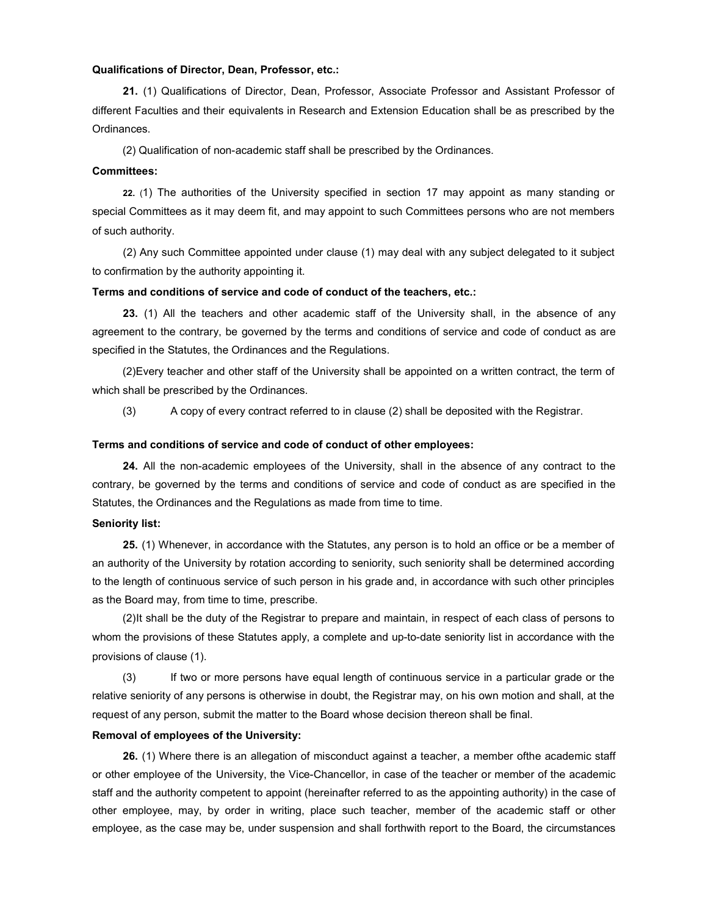# Qualifications of Director, Dean, Professor, etc.:

21. (1) Qualifications of Director, Dean, Professor, Associate Professor and Assistant Professor of different Faculties and their equivalents in Research and Extension Education shall be as prescribed by the Ordinances.

(2) Qualification of non-academic staff shall be prescribed by the Ordinances.

# Committees:

22. (1) The authorities of the University specified in section 17 may appoint as many standing or special Committees as it may deem fit, and may appoint to such Committees persons who are not members of such authority.

(2) Any such Committee appointed under clause (1) may deal with any subject delegated to it subject to confirmation by the authority appointing it.

## Terms and conditions of service and code of conduct of the teachers, etc.:

23. (1) All the teachers and other academic staff of the University shall, in the absence of any agreement to the contrary, be governed by the terms and conditions of service and code of conduct as are specified in the Statutes, the Ordinances and the Regulations.

(2) Every teacher and other staff of the University shall be appointed on a written contract, the term of which shall be prescribed by the Ordinances.

(3) A copy of every contract referred to in clause (2) shall be deposited with the Registrar.

### Terms and conditions of service and code of conduct of other employees:

24. All the non-academic employees of the University, shall in the absence of any contract to the contrary, be governed by the terms and conditions of service and code of conduct as are specified in the Statutes, the Ordinances and the Regulations as made from time to time.

### Seniority list:

25. (1) Whenever, in accordance with the Statutes, any person is to hold an office or be a member of an authority of the University by rotation according to seniority, such seniority shall be determined according to the length of continuous service of such person in his grade and, in accordance with such other principles as the Board may, from time to time, prescribe.

(2) It shall be the duty of the Registrar to prepare and maintain, in respect of each class of persons to whom the provisions of these Statutes apply, a complete and up-to-date seniority list in accordance with the provisions of clause (1).

(3) If two or more persons have equal length of continuous service in a particular grade or the relative seniority of any persons is otherwise in doubt, the Registrar may, on his own motion and shall, at the request of any person, submit the matter to the Board whose decision thereon shall be final.

#### Removal of employees of the University:

26. (1) Where there is an allegation of misconduct against a teacher, a member ofthe academic staff or other employee of the University, the Vice-Chancellor, in case of the teacher or member of the academic staff and the authority competent to appoint (hereinafter referred to as the appointing authority) in the case of other employee, may, by order in writing, place such teacher, member of the academic staff or other employee, as the case may be, under suspension and shall forthwith report to the Board, the circumstances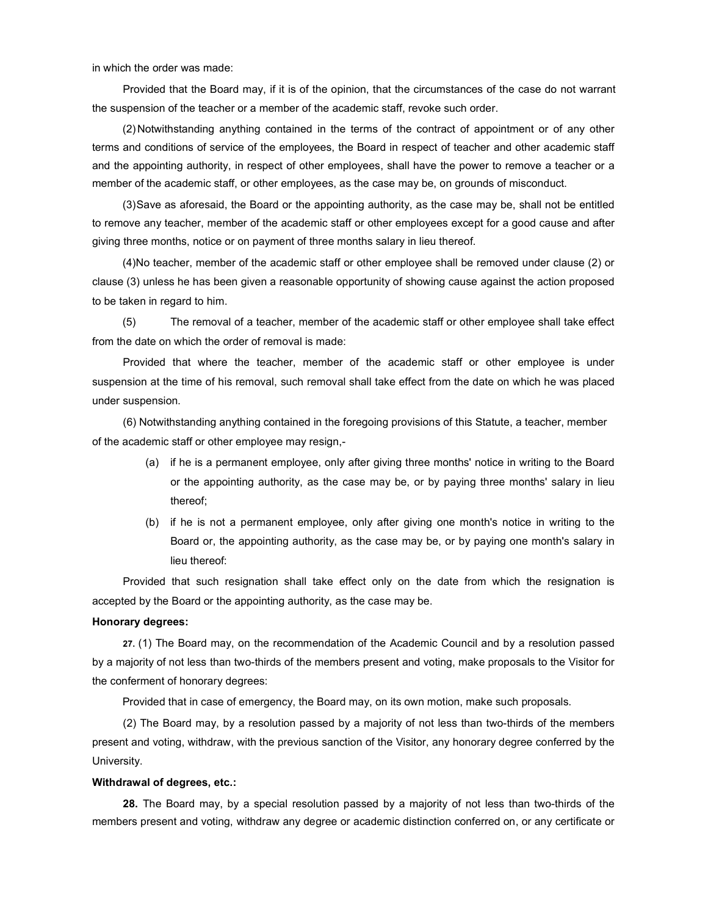in which the order was made:

Provided that the Board may, if it is of the opinion, that the circumstances of the case do not warrant the suspension of the teacher or a member of the academic staff, revoke such order.

(2) Notwithstanding anything contained in the terms of the contract of appointment or of any other terms and conditions of service of the employees, the Board in respect of teacher and other academic staff and the appointing authority, in respect of other employees, shall have the power to remove a teacher or a member of the academic staff, or other employees, as the case may be, on grounds of misconduct.

(3) Save as aforesaid, the Board or the appointing authority, as the case may be, shall not be entitled to remove any teacher, member of the academic staff or other employees except for a good cause and after giving three months, notice or on payment of three months salary in lieu thereof.

(4) No teacher, member of the academic staff or other employee shall be removed under clause (2) or clause (3) unless he has been given a reasonable opportunity of showing cause against the action proposed to be taken in regard to him.

(5) The removal of a teacher, member of the academic staff or other employee shall take effect from the date on which the order of removal is made:

Provided that where the teacher, member of the academic staff or other employee is under suspension at the time of his removal, such removal shall take effect from the date on which he was placed under suspension.

(6) Notwithstanding anything contained in the foregoing provisions of this Statute, a teacher, member of the academic staff or other employee may resign,-

- (a) if he is a permanent employee, only after giving three months' notice in writing to the Board or the appointing authority, as the case may be, or by paying three months' salary in lieu thereof;
- (b) if he is not a permanent employee, only after giving one month's notice in writing to the Board or, the appointing authority, as the case may be, or by paying one month's salary in lieu thereof:

Provided that such resignation shall take effect only on the date from which the resignation is accepted by the Board or the appointing authority, as the case may be.

# Honorary degrees:

27. (1) The Board may, on the recommendation of the Academic Council and by a resolution passed by a majority of not less than two-thirds of the members present and voting, make proposals to the Visitor for the conferment of honorary degrees:

Provided that in case of emergency, the Board may, on its own motion, make such proposals.

(2) The Board may, by a resolution passed by a majority of not less than two-thirds of the members present and voting, withdraw, with the previous sanction of the Visitor, any honorary degree conferred by the University.

# Withdrawal of degrees, etc.:

28. The Board may, by a special resolution passed by a majority of not less than two-thirds of the members present and voting, withdraw any degree or academic distinction conferred on, or any certificate or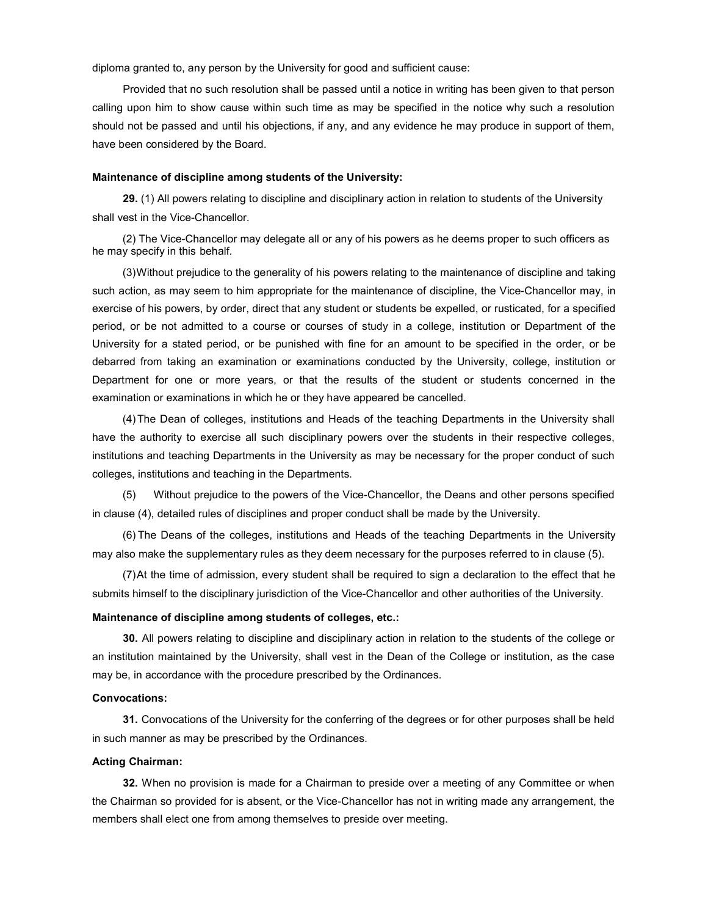diploma granted to, any person by the University for good and sufficient cause:

Provided that no such resolution shall be passed until a notice in writing has been given to that person calling upon him to show cause within such time as may be specified in the notice why such a resolution should not be passed and until his objections, if any, and any evidence he may produce in support of them, have been considered by the Board.

### Maintenance of discipline among students of the University:

29. (1) All powers relating to discipline and disciplinary action in relation to students of the University shall vest in the Vice-Chancellor.

(2) The Vice-Chancellor may delegate all or any of his powers as he deems proper to such officers as he may specify in this behalf.

(3) Without prejudice to the generality of his powers relating to the maintenance of discipline and taking such action, as may seem to him appropriate for the maintenance of discipline, the Vice-Chancellor may, in exercise of his powers, by order, direct that any student or students be expelled, or rusticated, for a specified period, or be not admitted to a course or courses of study in a college, institution or Department of the University for a stated period, or be punished with fine for an amount to be specified in the order, or be debarred from taking an examination or examinations conducted by the University, college, institution or Department for one or more years, or that the results of the student or students concerned in the examination or examinations in which he or they have appeared be cancelled.

(4) The Dean of colleges, institutions and Heads of the teaching Departments in the University shall have the authority to exercise all such disciplinary powers over the students in their respective colleges, institutions and teaching Departments in the University as may be necessary for the proper conduct of such colleges, institutions and teaching in the Departments.

(5) Without prejudice to the powers of the Vice-Chancellor, the Deans and other persons specified in clause (4), detailed rules of disciplines and proper conduct shall be made by the University.

(6) The Deans of the colleges, institutions and Heads of the teaching Departments in the University may also make the supplementary rules as they deem necessary for the purposes referred to in clause (5).

(7) At the time of admission, every student shall be required to sign a declaration to the effect that he submits himself to the disciplinary jurisdiction of the Vice-Chancellor and other authorities of the University.

# Maintenance of discipline among students of colleges, etc.:

30. All powers relating to discipline and disciplinary action in relation to the students of the college or an institution maintained by the University, shall vest in the Dean of the College or institution, as the case may be, in accordance with the procedure prescribed by the Ordinances.

### Convocations:

31. Convocations of the University for the conferring of the degrees or for other purposes shall be held in such manner as may be prescribed by the Ordinances.

#### Acting Chairman:

32. When no provision is made for a Chairman to preside over a meeting of any Committee or when the Chairman so provided for is absent, or the Vice-Chancellor has not in writing made any arrangement, the members shall elect one from among themselves to preside over meeting.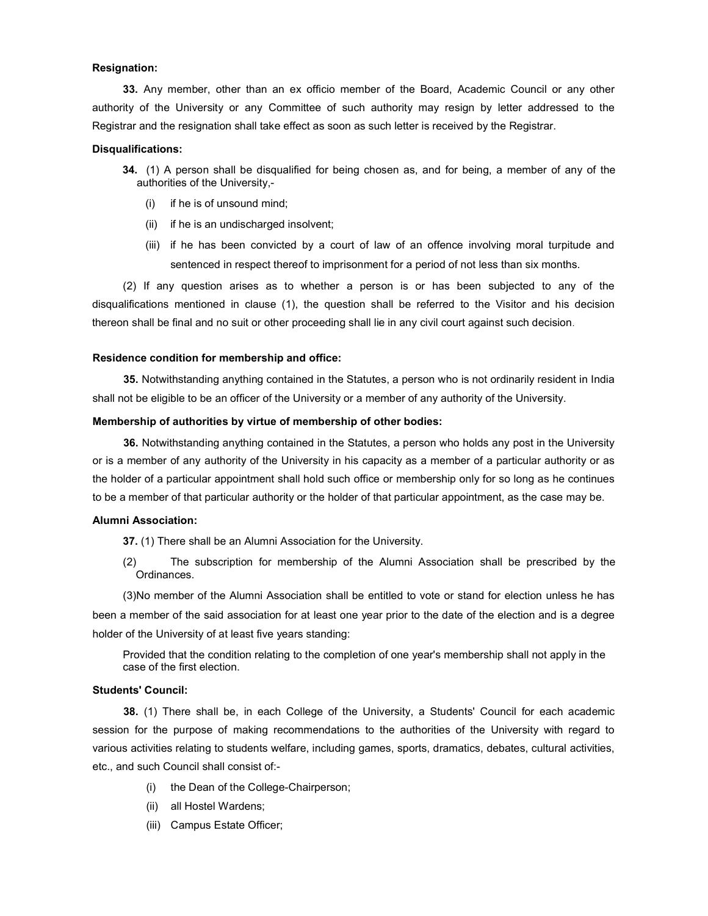## Resignation:

33. Any member, other than an ex officio member of the Board, Academic Council or any other authority of the University or any Committee of such authority may resign by letter addressed to the Registrar and the resignation shall take effect as soon as such letter is received by the Registrar.

#### Disqualifications:

- 34. (1) A person shall be disqualified for being chosen as, and for being, a member of any of the authorities of the University,-
	- (i) if he is of unsound mind;
	- (ii) if he is an undischarged insolvent;
	- (iii) if he has been convicted by a court of law of an offence involving moral turpitude and sentenced in respect thereof to imprisonment for a period of not less than six months.

(2) If any question arises as to whether a person is or has been subjected to any of the disqualifications mentioned in clause (1), the question shall be referred to the Visitor and his decision thereon shall be final and no suit or other proceeding shall lie in any civil court against such decision.

#### Residence condition for membership and office:

35. Notwithstanding anything contained in the Statutes, a person who is not ordinarily resident in India shall not be eligible to be an officer of the University or a member of any authority of the University.

## Membership of authorities by virtue of membership of other bodies:

36. Notwithstanding anything contained in the Statutes, a person who holds any post in the University or is a member of any authority of the University in his capacity as a member of a particular authority or as the holder of a particular appointment shall hold such office or membership only for so long as he continues to be a member of that particular authority or the holder of that particular appointment, as the case may be.

### Alumni Association:

37. (1) There shall be an Alumni Association for the University.

(2) The subscription for membership of the Alumni Association shall be prescribed by the Ordinances.

(3) No member of the Alumni Association shall be entitled to vote or stand for election unless he has been a member of the said association for at least one year prior to the date of the election and is a degree holder of the University of at least five years standing:

Provided that the condition relating to the completion of one year's membership shall not apply in the case of the first election.

# Students' Council:

38. (1) There shall be, in each College of the University, a Students' Council for each academic session for the purpose of making recommendations to the authorities of the University with regard to various activities relating to students welfare, including games, sports, dramatics, debates, cultural activities, etc., and such Council shall consist of:-

- (i) the Dean of the College-Chairperson;
- (ii) all Hostel Wardens;
- (iii) Campus Estate Officer;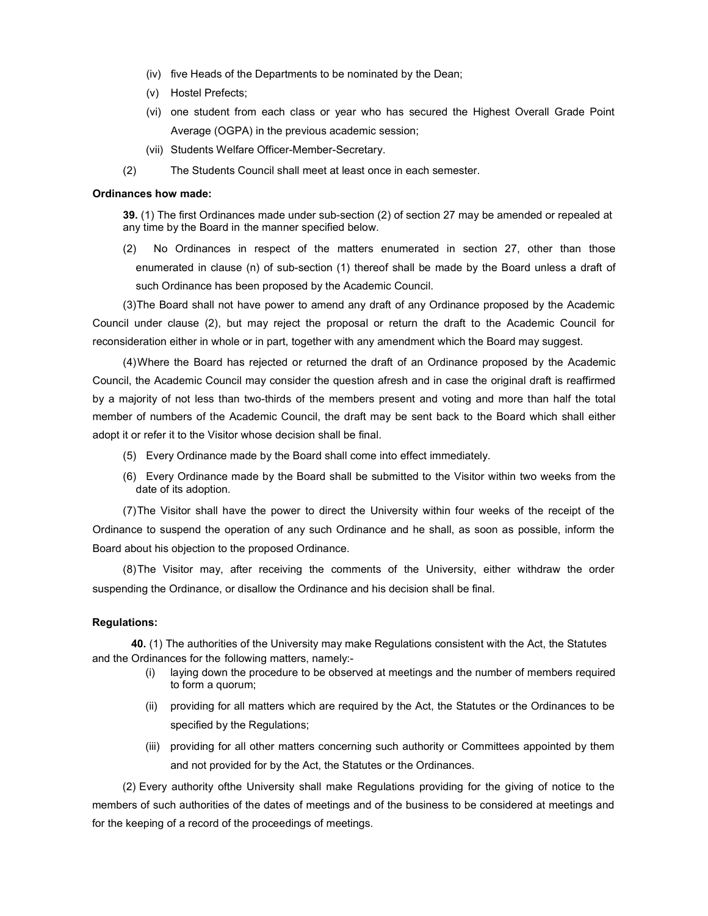- (iv) five Heads of the Departments to be nominated by the Dean;
- (v) Hostel Prefects;
- (vi) one student from each class or year who has secured the Highest Overall Grade Point Average (OGPA) in the previous academic session;
- (vii) Students Welfare Officer-Member-Secretary.
- (2) The Students Council shall meet at least once in each semester.

### Ordinances how made:

39. (1) The first Ordinances made under sub-section (2) of section 27 may be amended or repealed at any time by the Board in the manner specified below.

(2) No Ordinances in respect of the matters enumerated in section 27, other than those enumerated in clause (n) of sub-section (1) thereof shall be made by the Board unless a draft of such Ordinance has been proposed by the Academic Council.

(3) The Board shall not have power to amend any draft of any Ordinance proposed by the Academic Council under clause (2), but may reject the proposal or return the draft to the Academic Council for reconsideration either in whole or in part, together with any amendment which the Board may suggest.

(4) Where the Board has rejected or returned the draft of an Ordinance proposed by the Academic Council, the Academic Council may consider the question afresh and in case the original draft is reaffirmed by a majority of not less than two-thirds of the members present and voting and more than half the total member of numbers of the Academic Council, the draft may be sent back to the Board which shall either adopt it or refer it to the Visitor whose decision shall be final.

- (5) Every Ordinance made by the Board shall come into effect immediately.
- (6) Every Ordinance made by the Board shall be submitted to the Visitor within two weeks from the date of its adoption.

(7) The Visitor shall have the power to direct the University within four weeks of the receipt of the Ordinance to suspend the operation of any such Ordinance and he shall, as soon as possible, inform the Board about his objection to the proposed Ordinance.

(8) The Visitor may, after receiving the comments of the University, either withdraw the order suspending the Ordinance, or disallow the Ordinance and his decision shall be final.

### Regulations:

40. (1) The authorities of the University may make Regulations consistent with the Act, the Statutes and the Ordinances for the following matters, namely:-

- (i) laying down the procedure to be observed at meetings and the number of members required to form a quorum;
- (ii) providing for all matters which are required by the Act, the Statutes or the Ordinances to be specified by the Regulations;
- (iii) providing for all other matters concerning such authority or Committees appointed by them and not provided for by the Act, the Statutes or the Ordinances.

(2) Every authority ofthe University shall make Regulations providing for the giving of notice to the members of such authorities of the dates of meetings and of the business to be considered at meetings and for the keeping of a record of the proceedings of meetings.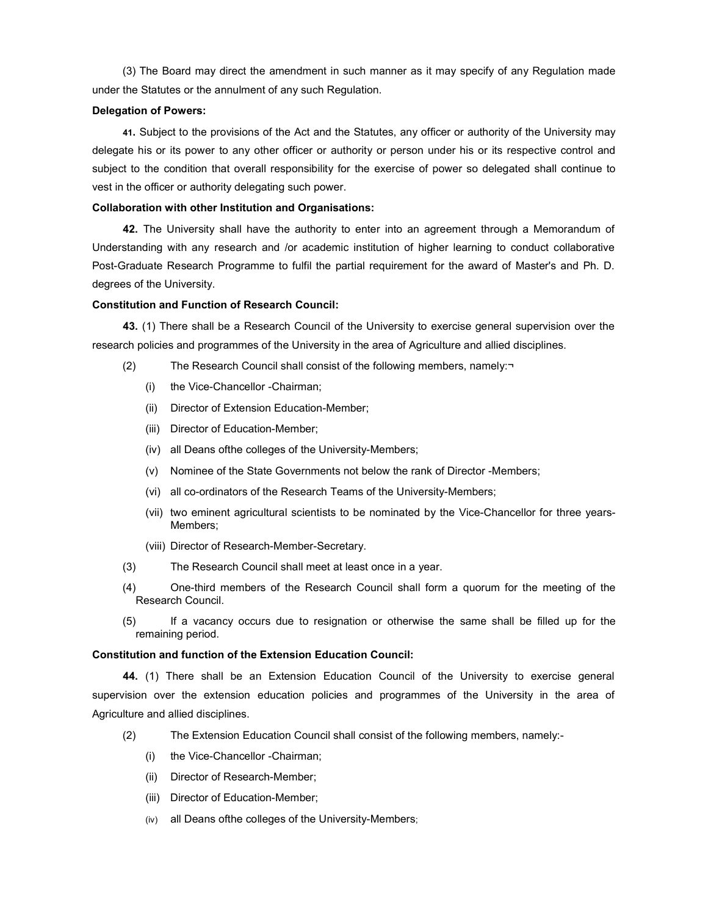(3) The Board may direct the amendment in such manner as it may specify of any Regulation made under the Statutes or the annulment of any such Regulation.

## Delegation of Powers:

41. Subject to the provisions of the Act and the Statutes, any officer or authority of the University may delegate his or its power to any other officer or authority or person under his or its respective control and subject to the condition that overall responsibility for the exercise of power so delegated shall continue to vest in the officer or authority delegating such power.

# Collaboration with other Institution and Organisations:

42. The University shall have the authority to enter into an agreement through a Memorandum of Understanding with any research and /or academic institution of higher learning to conduct collaborative Post-Graduate Research Programme to fulfil the partial requirement for the award of Master's and Ph. D. degrees of the University.

# Constitution and Function of Research Council:

43. (1) There shall be a Research Council of the University to exercise general supervision over the research policies and programmes of the University in the area of Agriculture and allied disciplines.

- (2) The Research Council shall consist of the following members, namely:¬
	- (i) the Vice-Chancellor -Chairman;
	- (ii) Director of Extension Education-Member;
	- (iii) Director of Education-Member;
	- (iv) all Deans ofthe colleges of the University-Members;
	- (v) Nominee of the State Governments not below the rank of Director -Members;
	- (vi) all co-ordinators of the Research Teams of the University-Members;
	- (vii) two eminent agricultural scientists to be nominated by the Vice-Chancellor for three years-Members;
	- (viii) Director of Research-Member-Secretary.
- (3) The Research Council shall meet at least once in a year.
- (4) One-third members of the Research Council shall form a quorum for the meeting of the Research Council.
- (5) If a vacancy occurs due to resignation or otherwise the same shall be filled up for the remaining period.

# Constitution and function of the Extension Education Council:

44. (1) There shall be an Extension Education Council of the University to exercise general supervision over the extension education policies and programmes of the University in the area of Agriculture and allied disciplines.

- (2) The Extension Education Council shall consist of the following members, namely:-
	- (i) the Vice-Chancellor -Chairman;
	- (ii) Director of Research-Member;
	- (iii) Director of Education-Member;
	- (iv) all Deans ofthe colleges of the University-Members;